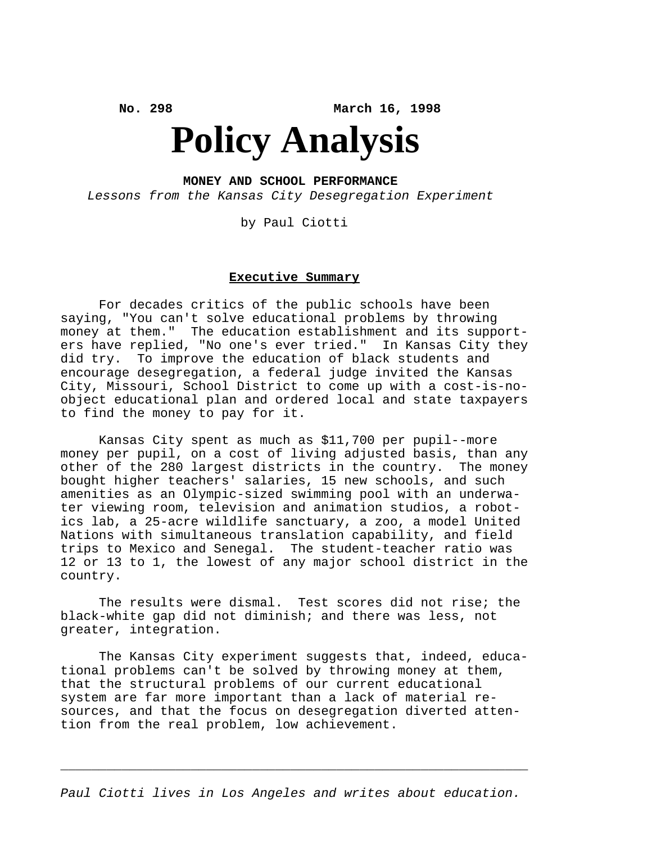**No. 298 March 16, 1998**

# **Policy Analysis**

# **MONEY AND SCHOOL PERFORMANCE**

*Lessons from the Kansas City Desegregation Experiment* 

by Paul Ciotti

#### **Executive Summary**

For decades critics of the public schools have been saying, "You can't solve educational problems by throwing money at them." The education establishment and its supporters have replied, "No one's ever tried." In Kansas City they did try. To improve the education of black students and encourage desegregation, a federal judge invited the Kansas City, Missouri, School District to come up with a cost-is-noobject educational plan and ordered local and state taxpayers to find the money to pay for it.

Kansas City spent as much as \$11,700 per pupil--more money per pupil, on a cost of living adjusted basis, than any other of the 280 largest districts in the country. The money bought higher teachers' salaries, 15 new schools, and such amenities as an Olympic-sized swimming pool with an underwater viewing room, television and animation studios, a robotics lab, a 25-acre wildlife sanctuary, a zoo, a model United Nations with simultaneous translation capability, and field trips to Mexico and Senegal. The student-teacher ratio was 12 or 13 to 1, the lowest of any major school district in the country.

The results were dismal. Test scores did not rise; the black-white gap did not diminish; and there was less, not greater, integration.

The Kansas City experiment suggests that, indeed, educational problems can't be solved by throwing money at them, that the structural problems of our current educational system are far more important than a lack of material resources, and that the focus on desegregation diverted attention from the real problem, low achievement.

*Paul Ciotti lives in Los Angeles and writes about education.* 

\_\_\_\_\_\_\_\_\_\_\_\_\_\_\_\_\_\_\_\_\_\_\_\_\_\_\_\_\_\_\_\_\_\_\_\_\_\_\_\_\_\_\_\_\_\_\_\_\_\_\_\_\_\_\_\_\_\_\_\_\_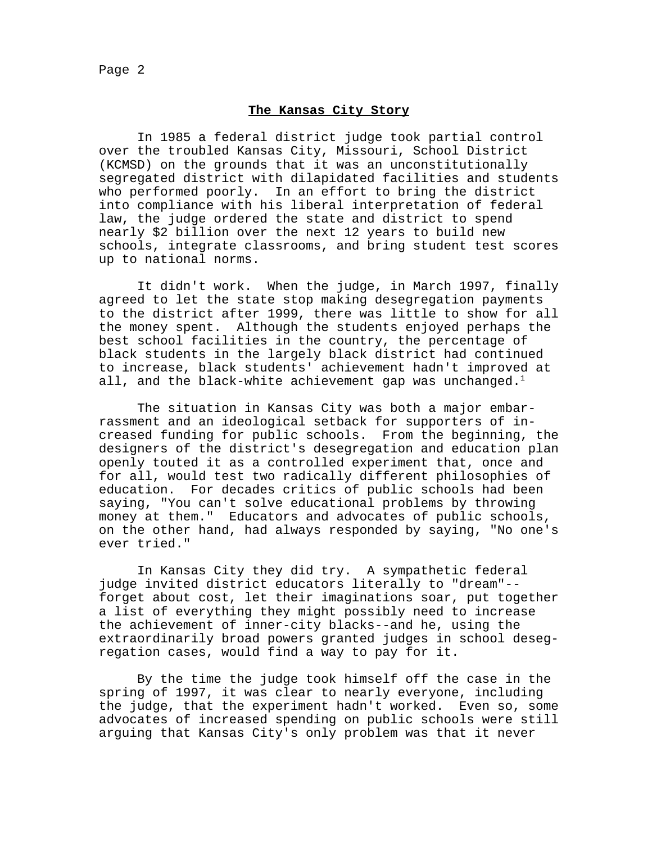#### **The Kansas City Story**

In 1985 a federal district judge took partial control over the troubled Kansas City, Missouri, School District (KCMSD) on the grounds that it was an unconstitutionally segregated district with dilapidated facilities and students who performed poorly. In an effort to bring the district into compliance with his liberal interpretation of federal law, the judge ordered the state and district to spend nearly \$2 billion over the next 12 years to build new schools, integrate classrooms, and bring student test scores up to national norms.

It didn't work. When the judge, in March 1997, finally agreed to let the state stop making desegregation payments to the district after 1999, there was little to show for all the money spent. Although the students enjoyed perhaps the best school facilities in the country, the percentage of black students in the largely black district had continued to increase, black students' achievement hadn't improved at all, and the black-white achievement gap was unchanged.<sup>1</sup>

The situation in Kansas City was both a major embarrassment and an ideological setback for supporters of increased funding for public schools. From the beginning, the designers of the district's desegregation and education plan openly touted it as a controlled experiment that, once and for all, would test two radically different philosophies of education. For decades critics of public schools had been saying, "You can't solve educational problems by throwing money at them." Educators and advocates of public schools, on the other hand, had always responded by saying, "No one's ever tried."

In Kansas City they did try. A sympathetic federal judge invited district educators literally to "dream"- forget about cost, let their imaginations soar, put together a list of everything they might possibly need to increase the achievement of inner-city blacks--and he, using the extraordinarily broad powers granted judges in school desegregation cases, would find a way to pay for it.

By the time the judge took himself off the case in the spring of 1997, it was clear to nearly everyone, including the judge, that the experiment hadn't worked. Even so, some advocates of increased spending on public schools were still arguing that Kansas City's only problem was that it never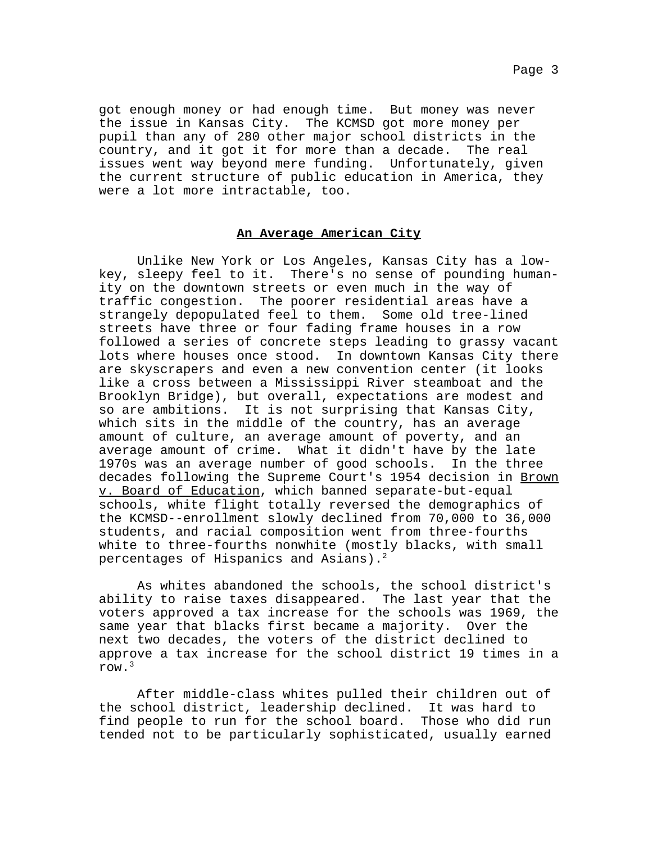got enough money or had enough time. But money was never the issue in Kansas City. The KCMSD got more money per pupil than any of 280 other major school districts in the country, and it got it for more than a decade. The real issues went way beyond mere funding. Unfortunately, given the current structure of public education in America, they were a lot more intractable, too.

# **An Average American City**

Unlike New York or Los Angeles, Kansas City has a lowkey, sleepy feel to it. There's no sense of pounding humanity on the downtown streets or even much in the way of traffic congestion. The poorer residential areas have a strangely depopulated feel to them. Some old tree-lined streets have three or four fading frame houses in a row followed a series of concrete steps leading to grassy vacant lots where houses once stood. In downtown Kansas City there are skyscrapers and even a new convention center (it looks like a cross between a Mississippi River steamboat and the Brooklyn Bridge), but overall, expectations are modest and so are ambitions. It is not surprising that Kansas City, which sits in the middle of the country, has an average amount of culture, an average amount of poverty, and an average amount of crime. What it didn't have by the late 1970s was an average number of good schools. In the three decades following the Supreme Court's 1954 decision in Brown v. Board of Education, which banned separate-but-equal schools, white flight totally reversed the demographics of the KCMSD--enrollment slowly declined from 70,000 to 36,000 students, and racial composition went from three-fourths white to three-fourths nonwhite (mostly blacks, with small percentages of Hispanics and Asians).<sup>2</sup>

As whites abandoned the schools, the school district's ability to raise taxes disappeared. The last year that the voters approved a tax increase for the schools was 1969, the same year that blacks first became a majority. Over the next two decades, the voters of the district declined to approve a tax increase for the school district 19 times in a row.<sup>3</sup>

After middle-class whites pulled their children out of the school district, leadership declined. It was hard to find people to run for the school board. Those who did run tended not to be particularly sophisticated, usually earned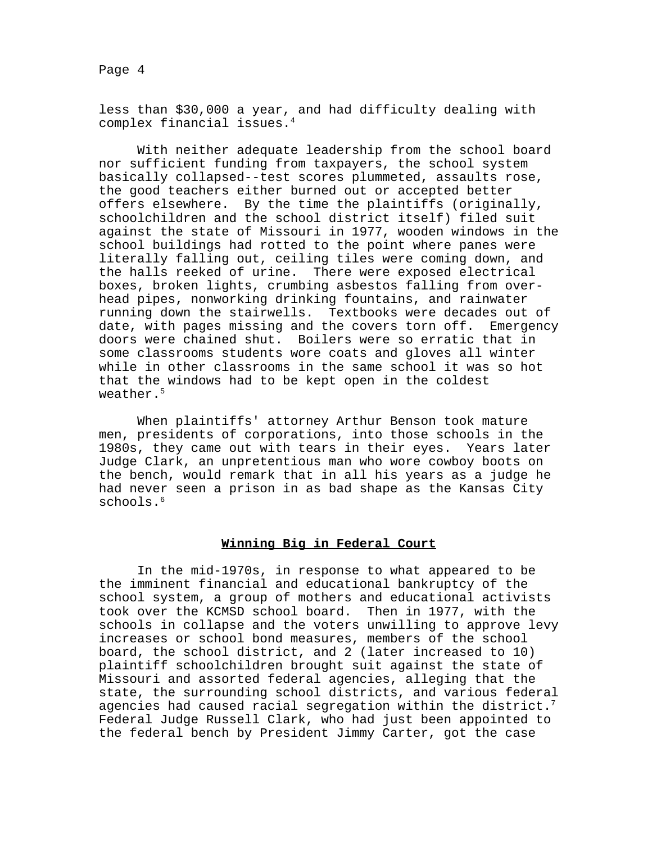less than \$30,000 a year, and had difficulty dealing with complex financial issues.<sup>4</sup>

With neither adequate leadership from the school board nor sufficient funding from taxpayers, the school system basically collapsed--test scores plummeted, assaults rose, the good teachers either burned out or accepted better offers elsewhere. By the time the plaintiffs (originally, schoolchildren and the school district itself) filed suit against the state of Missouri in 1977, wooden windows in the school buildings had rotted to the point where panes were literally falling out, ceiling tiles were coming down, and the halls reeked of urine. There were exposed electrical boxes, broken lights, crumbing asbestos falling from overhead pipes, nonworking drinking fountains, and rainwater running down the stairwells. Textbooks were decades out of date, with pages missing and the covers torn off. Emergency doors were chained shut. Boilers were so erratic that in some classrooms students wore coats and gloves all winter while in other classrooms in the same school it was so hot that the windows had to be kept open in the coldest weather.<sup>5</sup>

When plaintiffs' attorney Arthur Benson took mature men, presidents of corporations, into those schools in the 1980s, they came out with tears in their eyes. Years later Judge Clark, an unpretentious man who wore cowboy boots on the bench, would remark that in all his years as a judge he had never seen a prison in as bad shape as the Kansas City schools.<sup>6</sup>

# **Winning Big in Federal Court**

In the mid-1970s, in response to what appeared to be the imminent financial and educational bankruptcy of the school system, a group of mothers and educational activists took over the KCMSD school board. Then in 1977, with the schools in collapse and the voters unwilling to approve levy increases or school bond measures, members of the school board, the school district, and 2 (later increased to 10) plaintiff schoolchildren brought suit against the state of Missouri and assorted federal agencies, alleging that the state, the surrounding school districts, and various federal agencies had caused racial segregation within the district. $7$ Federal Judge Russell Clark, who had just been appointed to the federal bench by President Jimmy Carter, got the case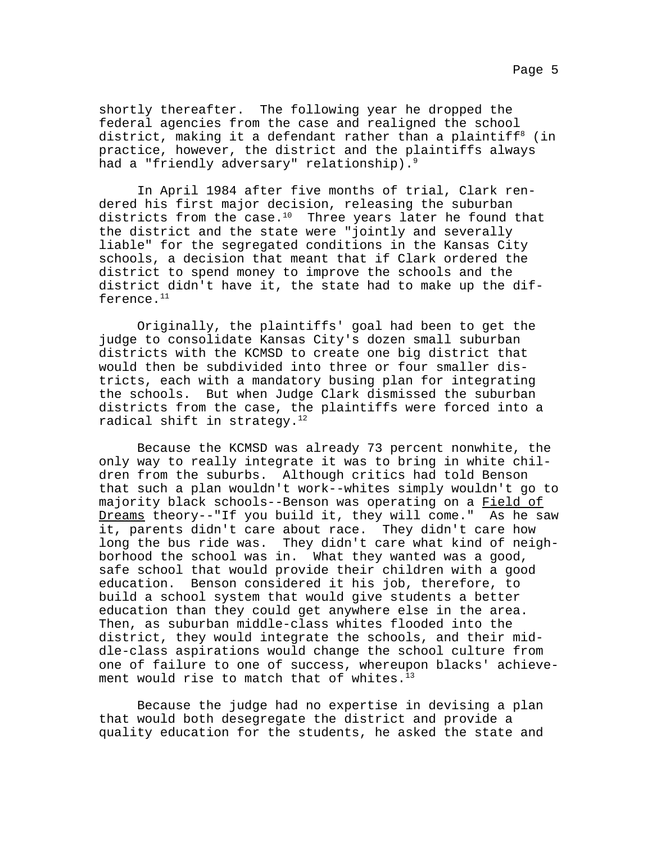shortly thereafter. The following year he dropped the federal agencies from the case and realigned the school district, making it a defendant rather than a plaintiff<sup>8</sup> (in practice, however, the district and the plaintiffs always had a "friendly adversary" relationship).<sup>9</sup>

In April 1984 after five months of trial, Clark rendered his first major decision, releasing the suburban districts from the case.<sup>10</sup> Three years later he found that the district and the state were "jointly and severally liable" for the segregated conditions in the Kansas City schools, a decision that meant that if Clark ordered the district to spend money to improve the schools and the district didn't have it, the state had to make up the difference.<sup>11</sup>

Originally, the plaintiffs' goal had been to get the judge to consolidate Kansas City's dozen small suburban districts with the KCMSD to create one big district that would then be subdivided into three or four smaller districts, each with a mandatory busing plan for integrating the schools. But when Judge Clark dismissed the suburban districts from the case, the plaintiffs were forced into a radical shift in strategy.<sup>12</sup>

Because the KCMSD was already 73 percent nonwhite, the only way to really integrate it was to bring in white children from the suburbs. Although critics had told Benson that such a plan wouldn't work--whites simply wouldn't go to majority black schools--Benson was operating on a Field of Dreams theory--"If you build it, they will come." As he saw it, parents didn't care about race. They didn't care how long the bus ride was. They didn't care what kind of neighborhood the school was in. What they wanted was a good, safe school that would provide their children with a good education. Benson considered it his job, therefore, to build a school system that would give students a better education than they could get anywhere else in the area. Then, as suburban middle-class whites flooded into the district, they would integrate the schools, and their middle-class aspirations would change the school culture from one of failure to one of success, whereupon blacks' achievement would rise to match that of whites.<sup>13</sup>

Because the judge had no expertise in devising a plan that would both desegregate the district and provide a quality education for the students, he asked the state and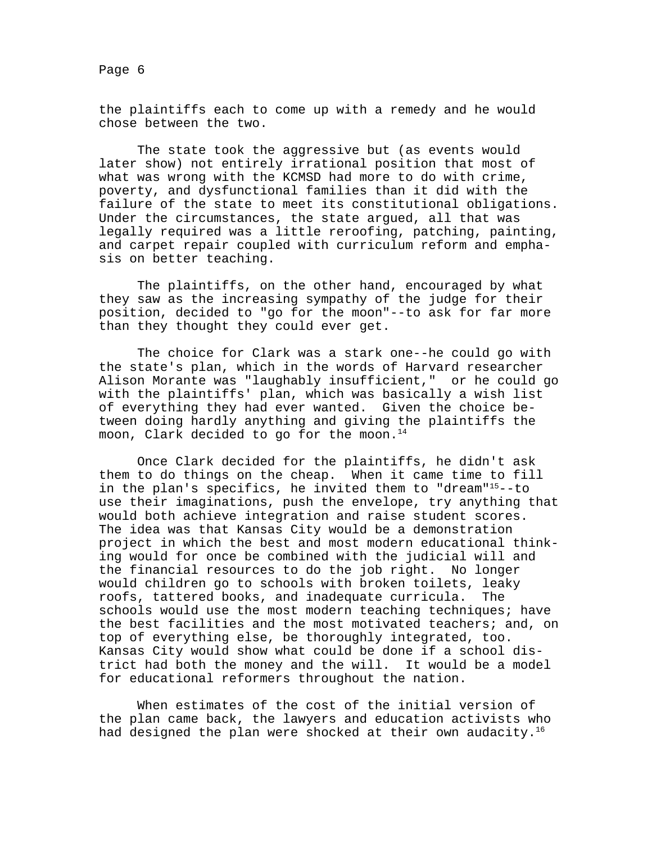the plaintiffs each to come up with a remedy and he would chose between the two.

The state took the aggressive but (as events would later show) not entirely irrational position that most of what was wrong with the KCMSD had more to do with crime, poverty, and dysfunctional families than it did with the failure of the state to meet its constitutional obligations. Under the circumstances, the state argued, all that was legally required was a little reroofing, patching, painting, and carpet repair coupled with curriculum reform and emphasis on better teaching.

The plaintiffs, on the other hand, encouraged by what they saw as the increasing sympathy of the judge for their position, decided to "go for the moon"--to ask for far more than they thought they could ever get.

The choice for Clark was a stark one--he could go with the state's plan, which in the words of Harvard researcher Alison Morante was "laughably insufficient," or he could go with the plaintiffs' plan, which was basically a wish list of everything they had ever wanted. Given the choice between doing hardly anything and giving the plaintiffs the moon, Clark decided to go for the moon.<sup>14</sup>

Once Clark decided for the plaintiffs, he didn't ask them to do things on the cheap. When it came time to fill in the plan's specifics, he invited them to "dream" $15$ --to use their imaginations, push the envelope, try anything that would both achieve integration and raise student scores. The idea was that Kansas City would be a demonstration project in which the best and most modern educational thinking would for once be combined with the judicial will and the financial resources to do the job right. No longer would children go to schools with broken toilets, leaky roofs, tattered books, and inadequate curricula. The schools would use the most modern teaching techniques; have the best facilities and the most motivated teachers; and, on top of everything else, be thoroughly integrated, too. Kansas City would show what could be done if a school district had both the money and the will. It would be a model for educational reformers throughout the nation.

When estimates of the cost of the initial version of the plan came back, the lawyers and education activists who had designed the plan were shocked at their own audacity.<sup>16</sup>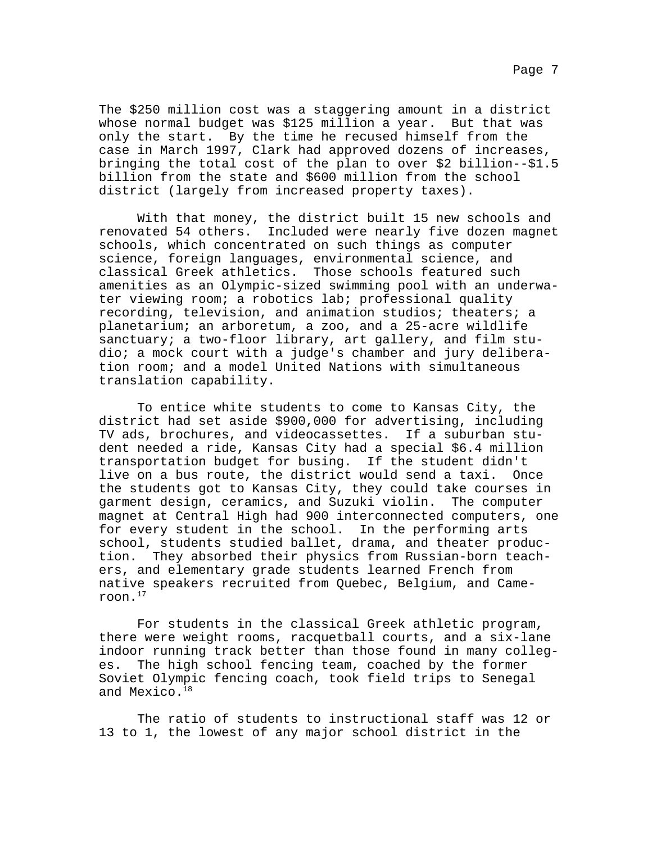The \$250 million cost was a staggering amount in a district whose normal budget was \$125 million a year. But that was only the start. By the time he recused himself from the case in March 1997, Clark had approved dozens of increases, bringing the total cost of the plan to over \$2 billion--\$1.5 billion from the state and \$600 million from the school district (largely from increased property taxes).

With that money, the district built 15 new schools and renovated 54 others. Included were nearly five dozen magnet schools, which concentrated on such things as computer science, foreign languages, environmental science, and classical Greek athletics. Those schools featured such amenities as an Olympic-sized swimming pool with an underwater viewing room; a robotics lab; professional quality recording, television, and animation studios; theaters; a planetarium; an arboretum, a zoo, and a 25-acre wildlife sanctuary; a two-floor library, art gallery, and film studio; a mock court with a judge's chamber and jury deliberation room; and a model United Nations with simultaneous translation capability.

To entice white students to come to Kansas City, the district had set aside \$900,000 for advertising, including TV ads, brochures, and videocassettes. If a suburban student needed a ride, Kansas City had a special \$6.4 million transportation budget for busing. If the student didn't live on a bus route, the district would send a taxi. Once the students got to Kansas City, they could take courses in garment design, ceramics, and Suzuki violin. The computer magnet at Central High had 900 interconnected computers, one for every student in the school. In the performing arts school, students studied ballet, drama, and theater production. They absorbed their physics from Russian-born teachers, and elementary grade students learned French from native speakers recruited from Quebec, Belgium, and Cameroon.<sup>17</sup>

 For students in the classical Greek athletic program, there were weight rooms, racquetball courts, and a six-lane indoor running track better than those found in many colleges. The high school fencing team, coached by the former Soviet Olympic fencing coach, took field trips to Senegal and Mexico.<sup>18</sup>

The ratio of students to instructional staff was 12 or 13 to 1, the lowest of any major school district in the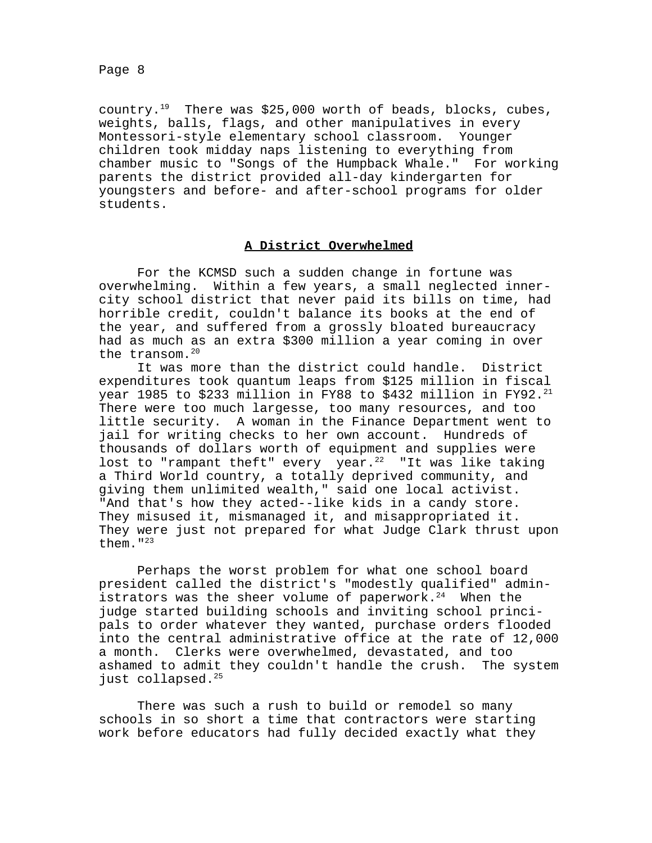country.<sup>19</sup> There was \$25,000 worth of beads, blocks, cubes, weights, balls, flags, and other manipulatives in every Montessori-style elementary school classroom. Younger children took midday naps listening to everything from chamber music to "Songs of the Humpback Whale." For working parents the district provided all-day kindergarten for youngsters and before- and after-school programs for older students.

# **A District Overwhelmed**

For the KCMSD such a sudden change in fortune was overwhelming. Within a few years, a small neglected innercity school district that never paid its bills on time, had horrible credit, couldn't balance its books at the end of the year, and suffered from a grossly bloated bureaucracy had as much as an extra \$300 million a year coming in over the transom.<sup>20</sup>

It was more than the district could handle. District expenditures took quantum leaps from \$125 million in fiscal year 1985 to \$233 million in FY88 to \$432 million in FY92. $^{21}$ There were too much largesse, too many resources, and too little security. A woman in the Finance Department went to jail for writing checks to her own account. Hundreds of thousands of dollars worth of equipment and supplies were lost to "rampant theft" every year. $22$  "It was like taking a Third World country, a totally deprived community, and giving them unlimited wealth," said one local activist. "And that's how they acted--like kids in a candy store. They misused it, mismanaged it, and misappropriated it. They were just not prepared for what Judge Clark thrust upon them."<sup>23</sup>

Perhaps the worst problem for what one school board president called the district's "modestly qualified" administrators was the sheer volume of paperwork.<sup>24</sup> When the judge started building schools and inviting school principals to order whatever they wanted, purchase orders flooded into the central administrative office at the rate of 12,000 a month. Clerks were overwhelmed, devastated, and too ashamed to admit they couldn't handle the crush. The system just collapsed.<sup>25</sup>

There was such a rush to build or remodel so many schools in so short a time that contractors were starting work before educators had fully decided exactly what they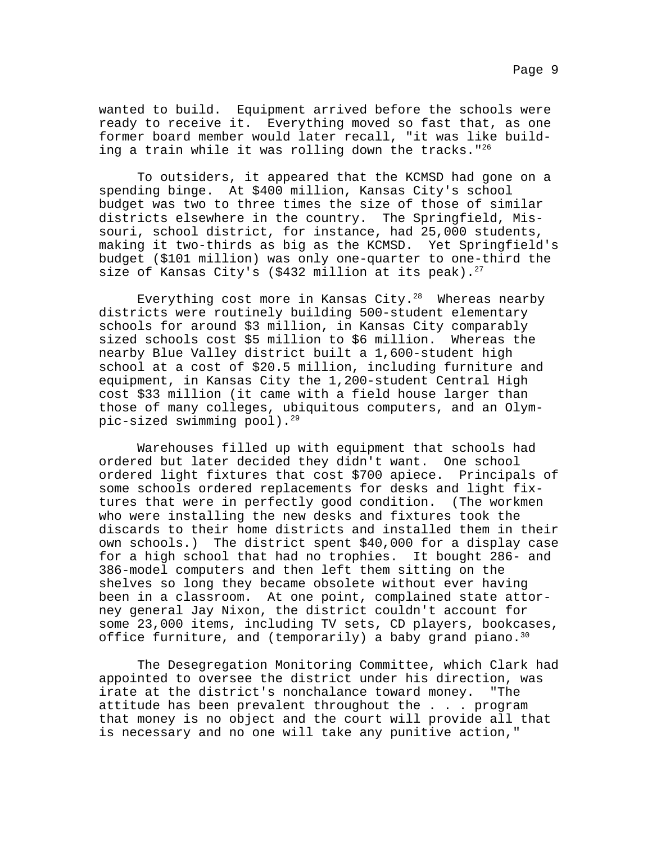wanted to build. Equipment arrived before the schools were ready to receive it. Everything moved so fast that, as one former board member would later recall, "it was like building a train while it was rolling down the tracks.  $126$ 

To outsiders, it appeared that the KCMSD had gone on a spending binge. At \$400 million, Kansas City's school budget was two to three times the size of those of similar districts elsewhere in the country. The Springfield, Missouri, school district, for instance, had 25,000 students, making it two-thirds as big as the KCMSD. Yet Springfield's budget (\$101 million) was only one-quarter to one-third the size of Kansas City's (\$432 million at its peak).<sup>27</sup>

Everything cost more in Kansas City. $28$  Whereas nearby districts were routinely building 500-student elementary schools for around \$3 million, in Kansas City comparably sized schools cost \$5 million to \$6 million. Whereas the nearby Blue Valley district built a 1,600-student high school at a cost of \$20.5 million, including furniture and equipment, in Kansas City the 1,200-student Central High cost \$33 million (it came with a field house larger than those of many colleges, ubiquitous computers, and an Olympic-sized swimming pool).<sup>29</sup>

Warehouses filled up with equipment that schools had ordered but later decided they didn't want. One school ordered light fixtures that cost \$700 apiece. Principals of some schools ordered replacements for desks and light fixtures that were in perfectly good condition. (The workmen who were installing the new desks and fixtures took the discards to their home districts and installed them in their own schools.) The district spent \$40,000 for a display case for a high school that had no trophies. It bought 286- and 386-model computers and then left them sitting on the shelves so long they became obsolete without ever having been in a classroom. At one point, complained state attorney general Jay Nixon, the district couldn't account for some 23,000 items, including TV sets, CD players, bookcases, office furniture, and (temporarily) a baby grand piano. $30$ 

The Desegregation Monitoring Committee, which Clark had appointed to oversee the district under his direction, was irate at the district's nonchalance toward money. "The attitude has been prevalent throughout the . . . program that money is no object and the court will provide all that is necessary and no one will take any punitive action,"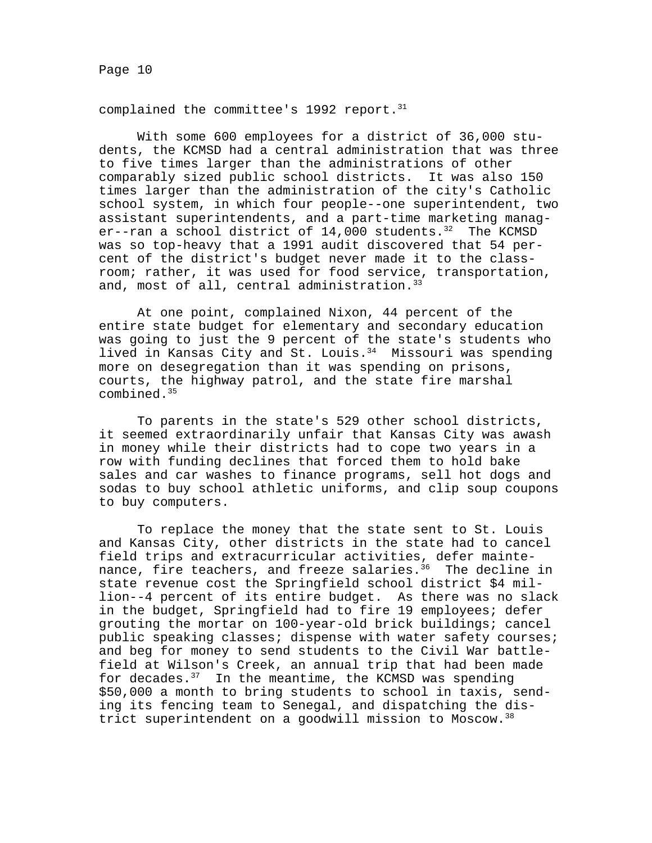complained the committee's 1992 report.  $31$ 

With some 600 employees for a district of 36,000 students, the KCMSD had a central administration that was three to five times larger than the administrations of other comparably sized public school districts. It was also 150 times larger than the administration of the city's Catholic school system, in which four people--one superintendent, two assistant superintendents, and a part-time marketing manager--ran a school district of  $14,000$  students.<sup>32</sup> The KCMSD was so top-heavy that a 1991 audit discovered that 54 percent of the district's budget never made it to the classroom; rather, it was used for food service, transportation, and, most of all, central administration.<sup>33</sup>

At one point, complained Nixon, 44 percent of the entire state budget for elementary and secondary education was going to just the 9 percent of the state's students who lived in Kansas City and St. Louis. $34$  Missouri was spending more on desegregation than it was spending on prisons, courts, the highway patrol, and the state fire marshal combined.<sup>35</sup>

To parents in the state's 529 other school districts, it seemed extraordinarily unfair that Kansas City was awash in money while their districts had to cope two years in a row with funding declines that forced them to hold bake sales and car washes to finance programs, sell hot dogs and sodas to buy school athletic uniforms, and clip soup coupons to buy computers.

To replace the money that the state sent to St. Louis and Kansas City, other districts in the state had to cancel field trips and extracurricular activities, defer maintenance, fire teachers, and freeze salaries.<sup>36</sup> The decline in state revenue cost the Springfield school district \$4 million--4 percent of its entire budget. As there was no slack in the budget, Springfield had to fire 19 employees; defer grouting the mortar on 100-year-old brick buildings; cancel public speaking classes; dispense with water safety courses; and beg for money to send students to the Civil War battlefield at Wilson's Creek, an annual trip that had been made for decades. $37$  In the meantime, the KCMSD was spending \$50,000 a month to bring students to school in taxis, sending its fencing team to Senegal, and dispatching the district superintendent on a goodwill mission to Moscow.<sup>38</sup>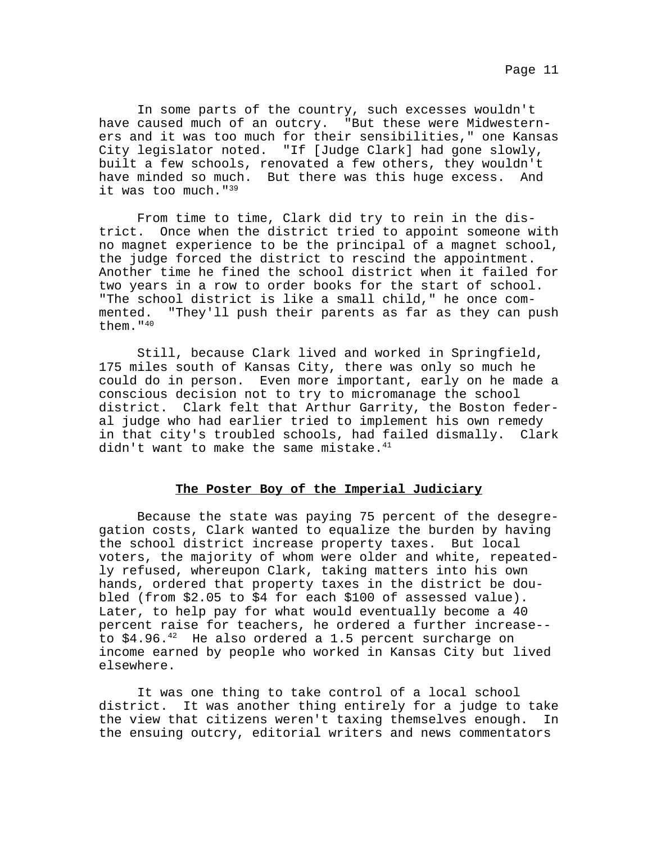In some parts of the country, such excesses wouldn't have caused much of an outcry. "But these were Midwesterners and it was too much for their sensibilities," one Kansas City legislator noted. "If [Judge Clark] had gone slowly, built a few schools, renovated a few others, they wouldn't have minded so much. But there was this huge excess. And it was too much."<sup>39</sup>

From time to time, Clark did try to rein in the district. Once when the district tried to appoint someone with no magnet experience to be the principal of a magnet school, the judge forced the district to rescind the appointment. Another time he fined the school district when it failed for two years in a row to order books for the start of school. "The school district is like a small child," he once commented. "They'll push their parents as far as they can push them."<sup>40</sup>

Still, because Clark lived and worked in Springfield, 175 miles south of Kansas City, there was only so much he could do in person. Even more important, early on he made a conscious decision not to try to micromanage the school district. Clark felt that Arthur Garrity, the Boston federal judge who had earlier tried to implement his own remedy in that city's troubled schools, had failed dismally. Clark  $d$ idn't want to make the same mistake. $41$ 

#### **The Poster Boy of the Imperial Judiciary**

Because the state was paying 75 percent of the desegregation costs, Clark wanted to equalize the burden by having the school district increase property taxes. But local voters, the majority of whom were older and white, repeatedly refused, whereupon Clark, taking matters into his own hands, ordered that property taxes in the district be doubled (from \$2.05 to \$4 for each \$100 of assessed value). Later, to help pay for what would eventually become a 40 percent raise for teachers, he ordered a further increase- to \$4.96. $^{42}$  He also ordered a 1.5 percent surcharge on income earned by people who worked in Kansas City but lived elsewhere.

It was one thing to take control of a local school district. It was another thing entirely for a judge to take the view that citizens weren't taxing themselves enough. In the ensuing outcry, editorial writers and news commentators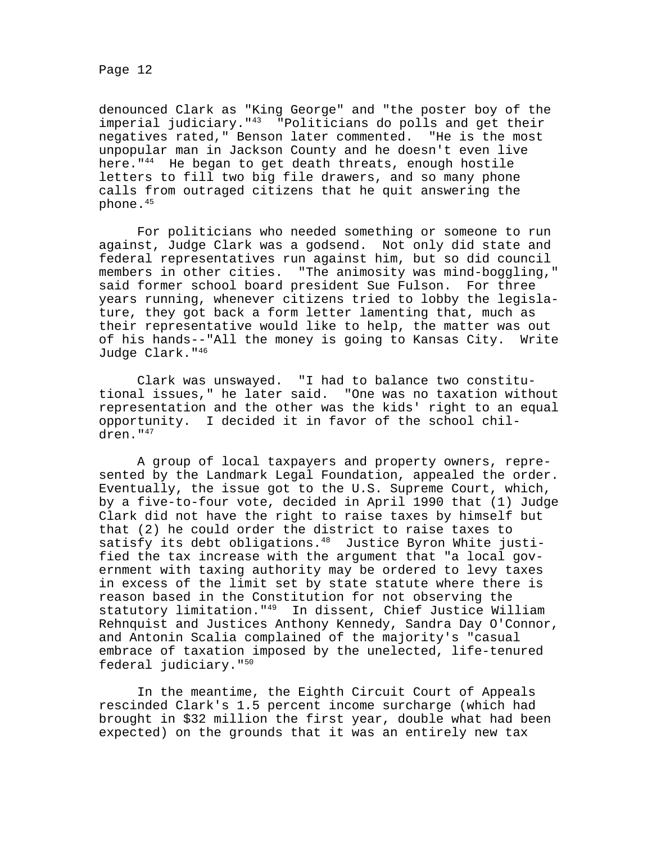Page 12

denounced Clark as "King George" and "the poster boy of the imperial judiciary. $143$  "Politicians do polls and get their negatives rated," Benson later commented. "He is the most unpopular man in Jackson County and he doesn't even live here."<sup>44</sup> He began to get death threats, enough hostile letters to fill two big file drawers, and so many phone calls from outraged citizens that he quit answering the phone.<sup>45</sup>

For politicians who needed something or someone to run against, Judge Clark was a godsend. Not only did state and federal representatives run against him, but so did council members in other cities. "The animosity was mind-boggling," said former school board president Sue Fulson. For three years running, whenever citizens tried to lobby the legislature, they got back a form letter lamenting that, much as their representative would like to help, the matter was out of his hands--"All the money is going to Kansas City. Write Judge Clark."<sup>46</sup>

Clark was unswayed. "I had to balance two constitutional issues," he later said. "One was no taxation without representation and the other was the kids' right to an equal opportunity. I decided it in favor of the school children."<sup>47</sup>

A group of local taxpayers and property owners, represented by the Landmark Legal Foundation, appealed the order. Eventually, the issue got to the U.S. Supreme Court, which, by a five-to-four vote, decided in April 1990 that (1) Judge Clark did not have the right to raise taxes by himself but that (2) he could order the district to raise taxes to satisfy its debt obligations. $48$  Justice Byron White justified the tax increase with the argument that "a local government with taxing authority may be ordered to levy taxes in excess of the limit set by state statute where there is reason based in the Constitution for not observing the statutory limitation."<sup>49</sup> In dissent, Chief Justice William Rehnquist and Justices Anthony Kennedy, Sandra Day O'Connor, and Antonin Scalia complained of the majority's "casual embrace of taxation imposed by the unelected, life-tenured federal judiciary."<sup>50</sup>

In the meantime, the Eighth Circuit Court of Appeals rescinded Clark's 1.5 percent income surcharge (which had brought in \$32 million the first year, double what had been expected) on the grounds that it was an entirely new tax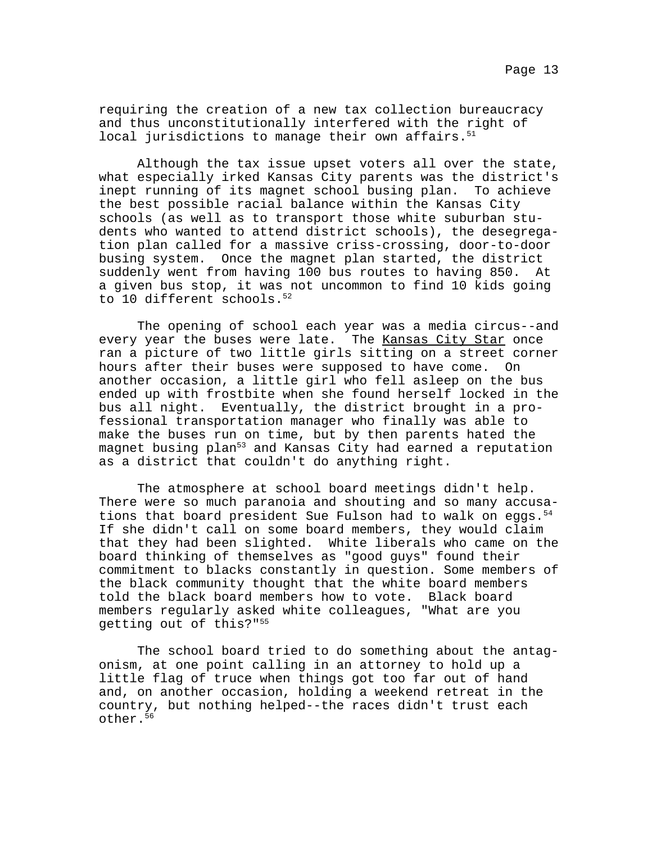requiring the creation of a new tax collection bureaucracy and thus unconstitutionally interfered with the right of local jurisdictions to manage their own affairs. $51$ 

Although the tax issue upset voters all over the state, what especially irked Kansas City parents was the district's inept running of its magnet school busing plan. To achieve the best possible racial balance within the Kansas City schools (as well as to transport those white suburban students who wanted to attend district schools), the desegregation plan called for a massive criss-crossing, door-to-door busing system. Once the magnet plan started, the district suddenly went from having 100 bus routes to having 850. At a given bus stop, it was not uncommon to find 10 kids going to 10 different schools.<sup>52</sup>

The opening of school each year was a media circus--and every year the buses were late. The Kansas City Star once ran a picture of two little girls sitting on a street corner hours after their buses were supposed to have come. On another occasion, a little girl who fell asleep on the bus ended up with frostbite when she found herself locked in the bus all night. Eventually, the district brought in a professional transportation manager who finally was able to make the buses run on time, but by then parents hated the magnet busing plan<sup>53</sup> and Kansas City had earned a reputation as a district that couldn't do anything right.

The atmosphere at school board meetings didn't help. There were so much paranoia and shouting and so many accusations that board president Sue Fulson had to walk on eqgs.<sup>54</sup> If she didn't call on some board members, they would claim that they had been slighted. White liberals who came on the board thinking of themselves as "good guys" found their commitment to blacks constantly in question. Some members of the black community thought that the white board members told the black board members how to vote. Black board members regularly asked white colleagues, "What are you getting out of this?"<sup>55</sup>

The school board tried to do something about the antagonism, at one point calling in an attorney to hold up a little flag of truce when things got too far out of hand and, on another occasion, holding a weekend retreat in the country, but nothing helped--the races didn't trust each other.56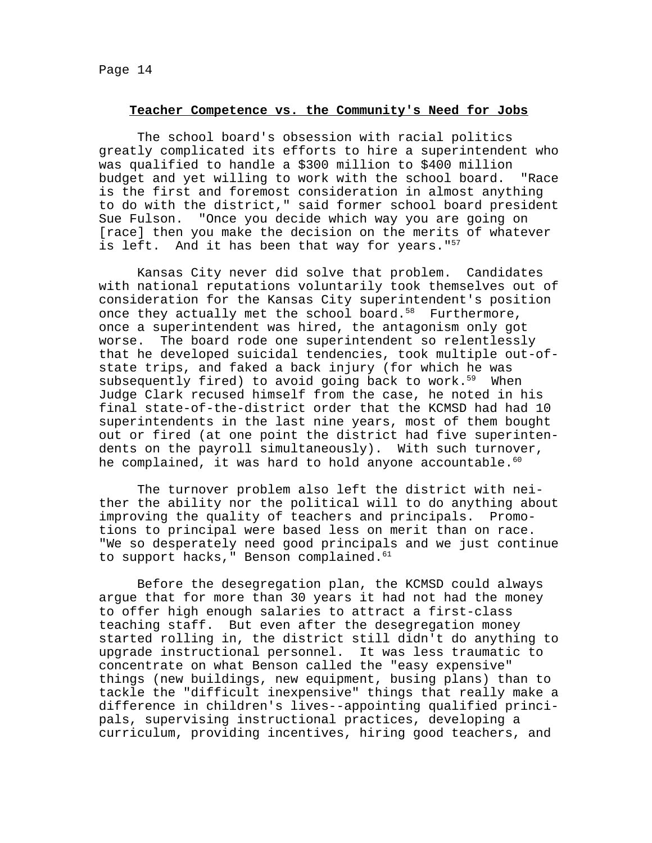# **Teacher Competence vs. the Community's Need for Jobs**

The school board's obsession with racial politics greatly complicated its efforts to hire a superintendent who was qualified to handle a \$300 million to \$400 million budget and yet willing to work with the school board. "Race is the first and foremost consideration in almost anything to do with the district," said former school board president Sue Fulson. "Once you decide which way you are going on [race] then you make the decision on the merits of whatever is left. And it has been that way for years."<sup>57</sup>

Kansas City never did solve that problem. Candidates with national reputations voluntarily took themselves out of consideration for the Kansas City superintendent's position once they actually met the school board.<sup>58</sup> Furthermore, once a superintendent was hired, the antagonism only got worse. The board rode one superintendent so relentlessly that he developed suicidal tendencies, took multiple out-ofstate trips, and faked a back injury (for which he was subsequently fired) to avoid going back to work. $59$  When Judge Clark recused himself from the case, he noted in his final state-of-the-district order that the KCMSD had had 10 superintendents in the last nine years, most of them bought out or fired (at one point the district had five superintendents on the payroll simultaneously). With such turnover, he complained, it was hard to hold anyone accountable. 60

The turnover problem also left the district with neither the ability nor the political will to do anything about improving the quality of teachers and principals. Promotions to principal were based less on merit than on race. "We so desperately need good principals and we just continue to support hacks, " Benson complained.<sup>61</sup>

Before the desegregation plan, the KCMSD could always argue that for more than 30 years it had not had the money to offer high enough salaries to attract a first-class teaching staff. But even after the desegregation money started rolling in, the district still didn't do anything to upgrade instructional personnel. It was less traumatic to concentrate on what Benson called the "easy expensive" things (new buildings, new equipment, busing plans) than to tackle the "difficult inexpensive" things that really make a difference in children's lives--appointing qualified principals, supervising instructional practices, developing a curriculum, providing incentives, hiring good teachers, and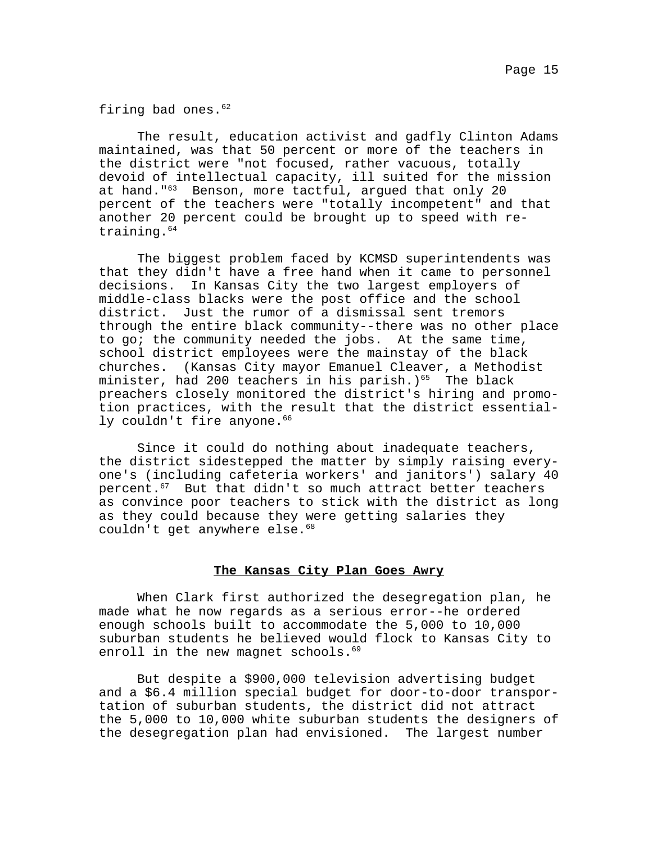firing bad ones. $62$ 

The result, education activist and gadfly Clinton Adams maintained, was that 50 percent or more of the teachers in the district were "not focused, rather vacuous, totally devoid of intellectual capacity, ill suited for the mission at hand." $63$  Benson, more tactful, argued that only 20 percent of the teachers were "totally incompetent" and that another 20 percent could be brought up to speed with retraining.<sup>64</sup>

The biggest problem faced by KCMSD superintendents was that they didn't have a free hand when it came to personnel decisions. In Kansas City the two largest employers of middle-class blacks were the post office and the school district. Just the rumor of a dismissal sent tremors through the entire black community--there was no other place to go; the community needed the jobs. At the same time, school district employees were the mainstay of the black churches. (Kansas City mayor Emanuel Cleaver, a Methodist minister, had 200 teachers in his parish.)<sup>65</sup> The black preachers closely monitored the district's hiring and promotion practices, with the result that the district essentially couldn't fire anyone.<sup>66</sup>

Since it could do nothing about inadequate teachers, the district sidestepped the matter by simply raising everyone's (including cafeteria workers' and janitors') salary 40 percent. $67$  But that didn't so much attract better teachers as convince poor teachers to stick with the district as long as they could because they were getting salaries they couldn't get anywhere else.<sup>68</sup>

## **The Kansas City Plan Goes Awry**

When Clark first authorized the desegregation plan, he made what he now regards as a serious error--he ordered enough schools built to accommodate the 5,000 to 10,000 suburban students he believed would flock to Kansas City to enroll in the new magnet schools.<sup>69</sup>

But despite a \$900,000 television advertising budget and a \$6.4 million special budget for door-to-door transportation of suburban students, the district did not attract the 5,000 to 10,000 white suburban students the designers of the desegregation plan had envisioned. The largest number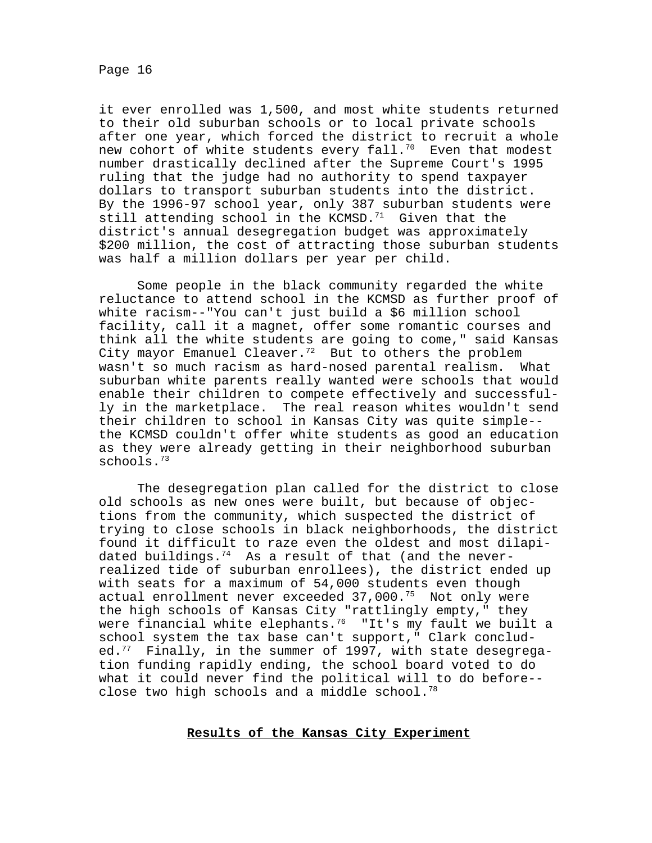it ever enrolled was 1,500, and most white students returned to their old suburban schools or to local private schools after one year, which forced the district to recruit a whole new cohort of white students every fall.<sup>70</sup> Even that modest number drastically declined after the Supreme Court's 1995 ruling that the judge had no authority to spend taxpayer dollars to transport suburban students into the district. By the 1996-97 school year, only 387 suburban students were still attending school in the KCMSD.<sup>71</sup> Given that the district's annual desegregation budget was approximately \$200 million, the cost of attracting those suburban students was half a million dollars per year per child.

Some people in the black community regarded the white reluctance to attend school in the KCMSD as further proof of white racism--"You can't just build a \$6 million school facility, call it a magnet, offer some romantic courses and think all the white students are going to come," said Kansas City mayor Emanuel Cleaver.<sup>72</sup> But to others the problem wasn't so much racism as hard-nosed parental realism. What suburban white parents really wanted were schools that would enable their children to compete effectively and successfully in the marketplace. The real reason whites wouldn't send their children to school in Kansas City was quite simple- the KCMSD couldn't offer white students as good an education as they were already getting in their neighborhood suburban schools.<sup>73</sup>

The desegregation plan called for the district to close old schools as new ones were built, but because of objections from the community, which suspected the district of trying to close schools in black neighborhoods, the district found it difficult to raze even the oldest and most dilapidated buildings.<sup>74</sup> As a result of that (and the neverrealized tide of suburban enrollees), the district ended up with seats for a maximum of 54,000 students even though actual enrollment never exceeded  $37,000.^{75}$  Not only were the high schools of Kansas City "rattlingly empty," they were financial white elephants.<sup>76</sup> "It's my fault we built a school system the tax base can't support," Clark concluded. $77$  Finally, in the summer of 1997, with state desegregation funding rapidly ending, the school board voted to do what it could never find the political will to do before- close two high schools and a middle school.<sup>78</sup>

# **Results of the Kansas City Experiment**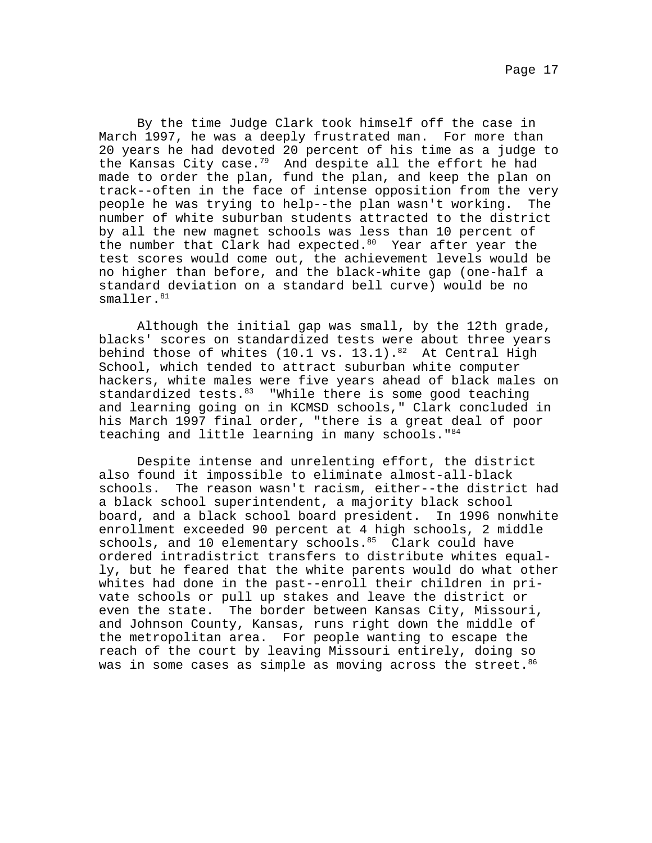By the time Judge Clark took himself off the case in March 1997, he was a deeply frustrated man. For more than 20 years he had devoted 20 percent of his time as a judge to the Kansas City case.<sup>79</sup> And despite all the effort he had made to order the plan, fund the plan, and keep the plan on track--often in the face of intense opposition from the very people he was trying to help--the plan wasn't working. The number of white suburban students attracted to the district by all the new magnet schools was less than 10 percent of the number that Clark had expected. $80$  Year after year the test scores would come out, the achievement levels would be no higher than before, and the black-white gap (one-half a standard deviation on a standard bell curve) would be no smaller.<sup>81</sup>

Although the initial gap was small, by the 12th grade, blacks' scores on standardized tests were about three years behind those of whites  $(10.1 \text{ vs. } 13.1)$ .<sup>82</sup> At Central High School, which tended to attract suburban white computer hackers, white males were five years ahead of black males on standardized tests. $83$  "While there is some good teaching and learning going on in KCMSD schools," Clark concluded in his March 1997 final order, "there is a great deal of poor teaching and little learning in many schools. "84

Despite intense and unrelenting effort, the district also found it impossible to eliminate almost-all-black schools. The reason wasn't racism, either--the district had a black school superintendent, a majority black school board, and a black school board president. In 1996 nonwhite enrollment exceeded 90 percent at 4 high schools, 2 middle schools, and 10 elementary schools. $85$  Clark could have ordered intradistrict transfers to distribute whites equally, but he feared that the white parents would do what other whites had done in the past--enroll their children in private schools or pull up stakes and leave the district or even the state. The border between Kansas City, Missouri, and Johnson County, Kansas, runs right down the middle of the metropolitan area. For people wanting to escape the reach of the court by leaving Missouri entirely, doing so was in some cases as simple as moving across the street.<sup>86</sup>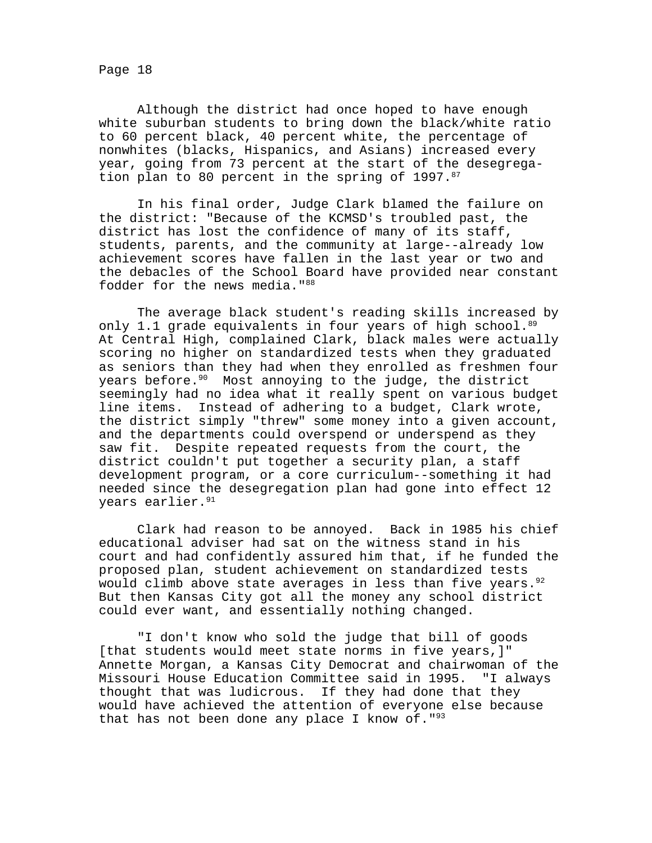Although the district had once hoped to have enough white suburban students to bring down the black/white ratio to 60 percent black, 40 percent white, the percentage of nonwhites (blacks, Hispanics, and Asians) increased every year, going from 73 percent at the start of the desegregation plan to 80 percent in the spring of 1997.87

In his final order, Judge Clark blamed the failure on the district: "Because of the KCMSD's troubled past, the district has lost the confidence of many of its staff, students, parents, and the community at large--already low achievement scores have fallen in the last year or two and the debacles of the School Board have provided near constant fodder for the news media."<sup>88</sup>

The average black student's reading skills increased by only 1.1 grade equivalents in four years of high school.<sup>89</sup> At Central High, complained Clark, black males were actually scoring no higher on standardized tests when they graduated as seniors than they had when they enrolled as freshmen four years before. $90$  Most annoying to the judge, the district seemingly had no idea what it really spent on various budget line items. Instead of adhering to a budget, Clark wrote, the district simply "threw" some money into a given account, and the departments could overspend or underspend as they saw fit. Despite repeated requests from the court, the district couldn't put together a security plan, a staff development program, or a core curriculum--something it had needed since the desegregation plan had gone into effect 12 years earlier.<sup>91</sup>

Clark had reason to be annoyed. Back in 1985 his chief educational adviser had sat on the witness stand in his court and had confidently assured him that, if he funded the proposed plan, student achievement on standardized tests would climb above state averages in less than five years.<sup>92</sup> But then Kansas City got all the money any school district could ever want, and essentially nothing changed.

"I don't know who sold the judge that bill of goods [that students would meet state norms in five years,]" Annette Morgan, a Kansas City Democrat and chairwoman of the Missouri House Education Committee said in 1995. "I always thought that was ludicrous. If they had done that they would have achieved the attention of everyone else because that has not been done any place I know of."<sup>93</sup>

Page 18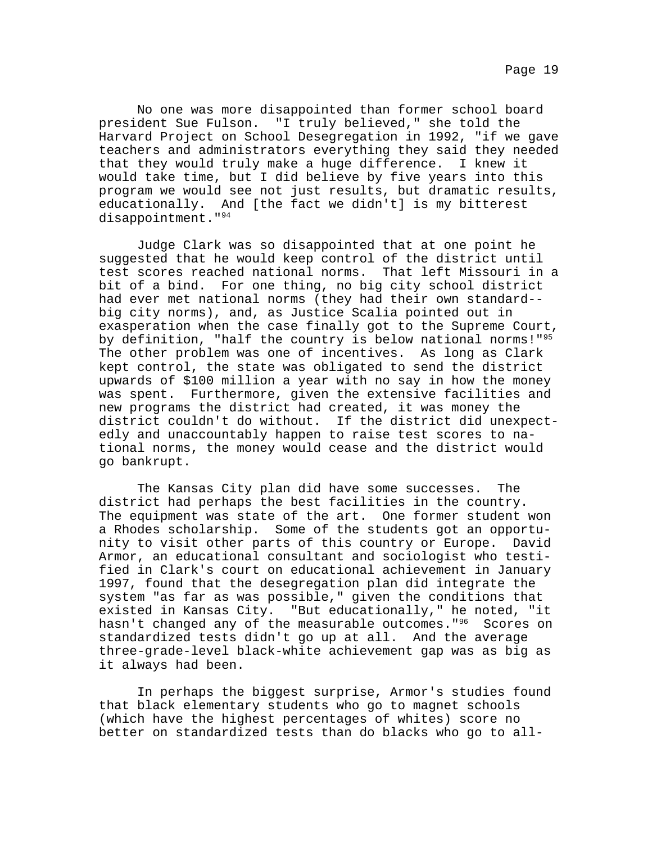No one was more disappointed than former school board president Sue Fulson. "I truly believed," she told the Harvard Project on School Desegregation in 1992, "if we gave teachers and administrators everything they said they needed that they would truly make a huge difference. I knew it would take time, but I did believe by five years into this program we would see not just results, but dramatic results, educationally. And [the fact we didn't] is my bitterest disappointment."<sup>94</sup>

Judge Clark was so disappointed that at one point he suggested that he would keep control of the district until test scores reached national norms. That left Missouri in a bit of a bind. For one thing, no big city school district had ever met national norms (they had their own standard- big city norms), and, as Justice Scalia pointed out in exasperation when the case finally got to the Supreme Court, by definition, "half the country is below national norms!"<sup>95</sup> The other problem was one of incentives. As long as Clark kept control, the state was obligated to send the district upwards of \$100 million a year with no say in how the money was spent. Furthermore, given the extensive facilities and new programs the district had created, it was money the district couldn't do without. If the district did unexpectedly and unaccountably happen to raise test scores to national norms, the money would cease and the district would go bankrupt.

The Kansas City plan did have some successes. The district had perhaps the best facilities in the country. The equipment was state of the art. One former student won a Rhodes scholarship. Some of the students got an opportunity to visit other parts of this country or Europe. David Armor, an educational consultant and sociologist who testified in Clark's court on educational achievement in January 1997, found that the desegregation plan did integrate the system "as far as was possible," given the conditions that existed in Kansas City. "But educationally," he noted, "it hasn't changed any of the measurable outcomes."<sup>96</sup> Scores on standardized tests didn't go up at all. And the average three-grade-level black-white achievement gap was as big as it always had been.

In perhaps the biggest surprise, Armor's studies found that black elementary students who go to magnet schools (which have the highest percentages of whites) score no better on standardized tests than do blacks who go to all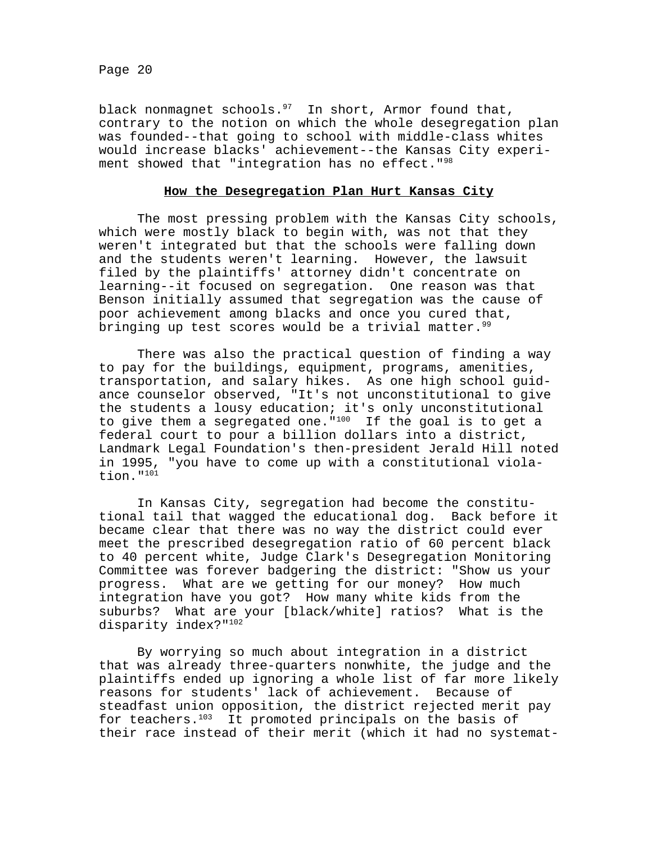black nonmagnet schools. $97$  In short, Armor found that, contrary to the notion on which the whole desegregation plan was founded--that going to school with middle-class whites would increase blacks' achievement--the Kansas City experiment showed that "integration has no effect."<sup>98</sup>

# **How the Desegregation Plan Hurt Kansas City**

The most pressing problem with the Kansas City schools, which were mostly black to begin with, was not that they weren't integrated but that the schools were falling down and the students weren't learning. However, the lawsuit filed by the plaintiffs' attorney didn't concentrate on learning--it focused on segregation. One reason was that Benson initially assumed that segregation was the cause of poor achievement among blacks and once you cured that, bringing up test scores would be a trivial matter.<sup>99</sup>

There was also the practical question of finding a way to pay for the buildings, equipment, programs, amenities, transportation, and salary hikes. As one high school guidance counselor observed, "It's not unconstitutional to give the students a lousy education; it's only unconstitutional to give them a segregated one."<sup>100</sup> If the goal is to get a federal court to pour a billion dollars into a district, Landmark Legal Foundation's then-president Jerald Hill noted in 1995, "you have to come up with a constitutional violation."<sup>101</sup>

In Kansas City, segregation had become the constitutional tail that wagged the educational dog. Back before it became clear that there was no way the district could ever meet the prescribed desegregation ratio of 60 percent black to 40 percent white, Judge Clark's Desegregation Monitoring Committee was forever badgering the district: "Show us your progress. What are we getting for our money? How much integration have you got? How many white kids from the suburbs? What are your [black/white] ratios? What is the disparity index?"<sup>102</sup>

By worrying so much about integration in a district that was already three-quarters nonwhite, the judge and the plaintiffs ended up ignoring a whole list of far more likely reasons for students' lack of achievement. Because of steadfast union opposition, the district rejected merit pay for teachers. $103$  It promoted principals on the basis of their race instead of their merit (which it had no systemat-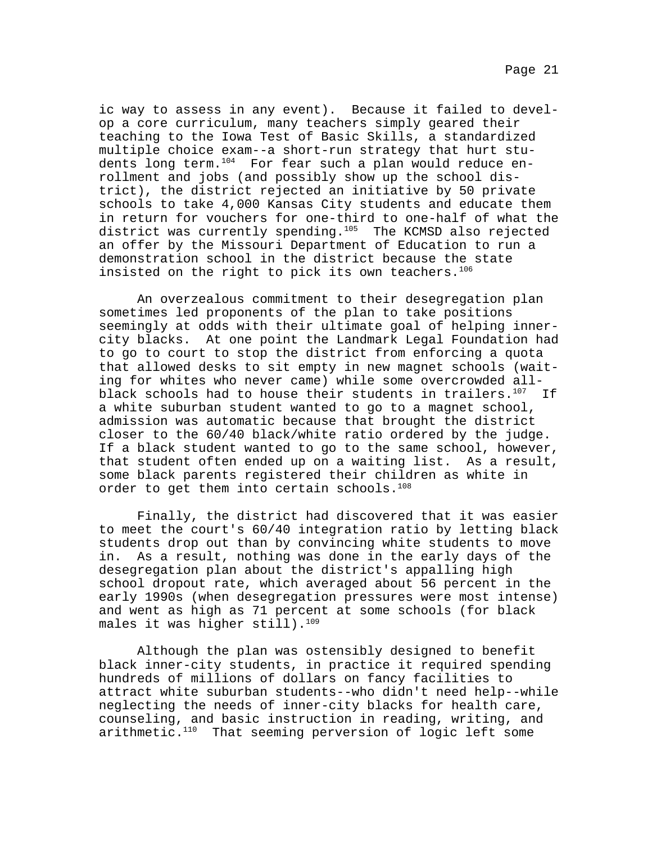ic way to assess in any event). Because it failed to develop a core curriculum, many teachers simply geared their teaching to the Iowa Test of Basic Skills, a standardized multiple choice exam--a short-run strategy that hurt students long term. $104$  For fear such a plan would reduce enrollment and jobs (and possibly show up the school district), the district rejected an initiative by 50 private schools to take 4,000 Kansas City students and educate them in return for vouchers for one-third to one-half of what the district was currently spending. $105$  The KCMSD also rejected an offer by the Missouri Department of Education to run a demonstration school in the district because the state insisted on the right to pick its own teachers.<sup>106</sup>

An overzealous commitment to their desegregation plan sometimes led proponents of the plan to take positions seemingly at odds with their ultimate goal of helping innercity blacks. At one point the Landmark Legal Foundation had to go to court to stop the district from enforcing a quota that allowed desks to sit empty in new magnet schools (waiting for whites who never came) while some overcrowded allblack schools had to house their students in trailers. $107$  If a white suburban student wanted to go to a magnet school, admission was automatic because that brought the district closer to the 60/40 black/white ratio ordered by the judge. If a black student wanted to go to the same school, however, that student often ended up on a waiting list. As a result, some black parents registered their children as white in order to get them into certain schools.<sup>108</sup>

Finally, the district had discovered that it was easier to meet the court's 60/40 integration ratio by letting black students drop out than by convincing white students to move in. As a result, nothing was done in the early days of the desegregation plan about the district's appalling high school dropout rate, which averaged about 56 percent in the early 1990s (when desegregation pressures were most intense) and went as high as 71 percent at some schools (for black males it was higher still).<sup>109</sup>

Although the plan was ostensibly designed to benefit black inner-city students, in practice it required spending hundreds of millions of dollars on fancy facilities to attract white suburban students--who didn't need help--while neglecting the needs of inner-city blacks for health care, counseling, and basic instruction in reading, writing, and arithmetic. $110$  That seeming perversion of logic left some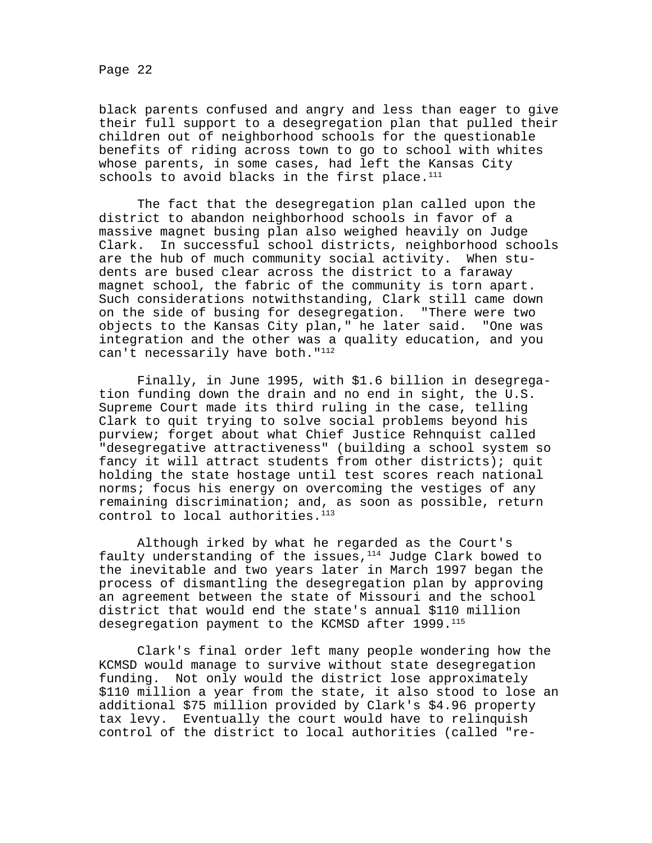Page 22

black parents confused and angry and less than eager to give their full support to a desegregation plan that pulled their children out of neighborhood schools for the questionable benefits of riding across town to go to school with whites whose parents, in some cases, had left the Kansas City schools to avoid blacks in the first place. $111$ 

The fact that the desegregation plan called upon the district to abandon neighborhood schools in favor of a massive magnet busing plan also weighed heavily on Judge Clark. In successful school districts, neighborhood schools are the hub of much community social activity. When students are bused clear across the district to a faraway magnet school, the fabric of the community is torn apart. Such considerations notwithstanding, Clark still came down on the side of busing for desegregation. "There were two objects to the Kansas City plan," he later said. "One was integration and the other was a quality education, and you can't necessarily have both. "<sup>112</sup>

Finally, in June 1995, with \$1.6 billion in desegregation funding down the drain and no end in sight, the U.S. Supreme Court made its third ruling in the case, telling Clark to quit trying to solve social problems beyond his purview; forget about what Chief Justice Rehnquist called "desegregative attractiveness" (building a school system so fancy it will attract students from other districts); quit holding the state hostage until test scores reach national norms; focus his energy on overcoming the vestiges of any remaining discrimination; and, as soon as possible, return control to local authorities.<sup>113</sup>

Although irked by what he regarded as the Court's faulty understanding of the issues, $114$  Judge Clark bowed to the inevitable and two years later in March 1997 began the process of dismantling the desegregation plan by approving an agreement between the state of Missouri and the school district that would end the state's annual \$110 million desegregation payment to the KCMSD after 1999. 115

Clark's final order left many people wondering how the KCMSD would manage to survive without state desegregation funding. Not only would the district lose approximately \$110 million a year from the state, it also stood to lose an additional \$75 million provided by Clark's \$4.96 property tax levy. Eventually the court would have to relinquish control of the district to local authorities (called "re-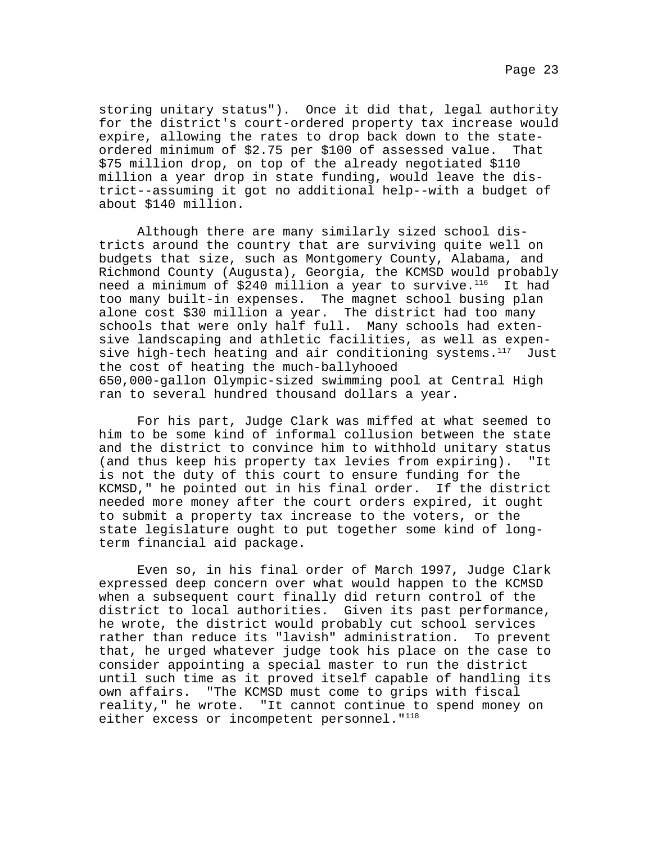storing unitary status"). Once it did that, legal authority for the district's court-ordered property tax increase would expire, allowing the rates to drop back down to the stateordered minimum of \$2.75 per \$100 of assessed value. That \$75 million drop, on top of the already negotiated \$110 million a year drop in state funding, would leave the district--assuming it got no additional help--with a budget of about \$140 million.

Although there are many similarly sized school districts around the country that are surviving quite well on budgets that size, such as Montgomery County, Alabama, and Richmond County (Augusta), Georgia, the KCMSD would probably need a minimum of \$240 million a year to survive.<sup>116</sup> It had too many built-in expenses. The magnet school busing plan alone cost \$30 million a year. The district had too many schools that were only half full. Many schools had extensive landscaping and athletic facilities, as well as expensive high-tech heating and air conditioning systems. $117$  Just the cost of heating the much-ballyhooed 650,000-gallon Olympic-sized swimming pool at Central High ran to several hundred thousand dollars a year.

For his part, Judge Clark was miffed at what seemed to him to be some kind of informal collusion between the state and the district to convince him to withhold unitary status (and thus keep his property tax levies from expiring). "It is not the duty of this court to ensure funding for the KCMSD," he pointed out in his final order. If the district needed more money after the court orders expired, it ought to submit a property tax increase to the voters, or the state legislature ought to put together some kind of longterm financial aid package.

Even so, in his final order of March 1997, Judge Clark expressed deep concern over what would happen to the KCMSD when a subsequent court finally did return control of the district to local authorities. Given its past performance, he wrote, the district would probably cut school services rather than reduce its "lavish" administration. To prevent that, he urged whatever judge took his place on the case to consider appointing a special master to run the district until such time as it proved itself capable of handling its own affairs. "The KCMSD must come to grips with fiscal reality," he wrote. "It cannot continue to spend money on either excess or incompetent personnel."<sup>118</sup>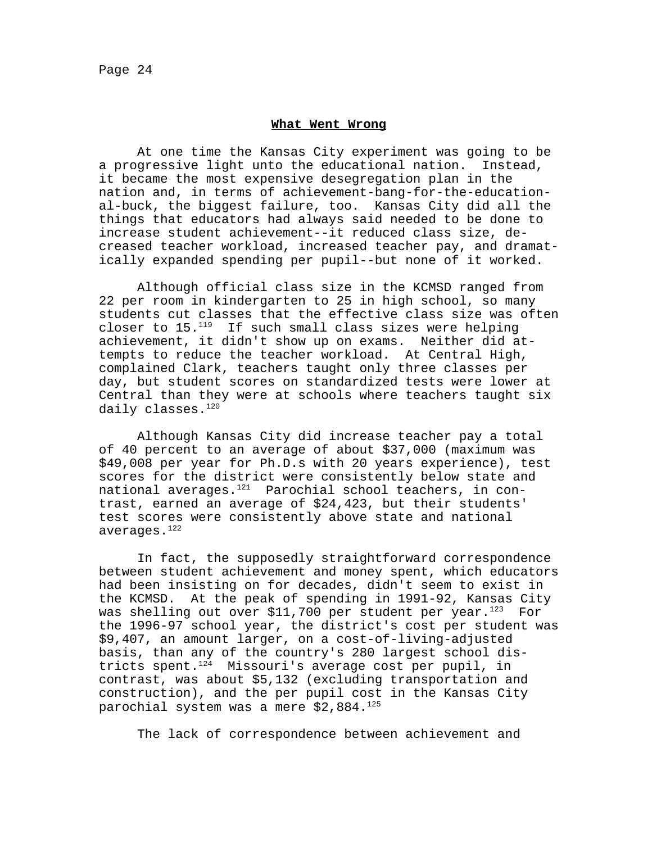#### **What Went Wrong**

At one time the Kansas City experiment was going to be a progressive light unto the educational nation. Instead, it became the most expensive desegregation plan in the nation and, in terms of achievement-bang-for-the-educational-buck, the biggest failure, too. Kansas City did all the things that educators had always said needed to be done to increase student achievement--it reduced class size, decreased teacher workload, increased teacher pay, and dramatically expanded spending per pupil--but none of it worked.

Although official class size in the KCMSD ranged from 22 per room in kindergarten to 25 in high school, so many students cut classes that the effective class size was often closer to  $15.^{119}$  If such small class sizes were helping achievement, it didn't show up on exams. Neither did attempts to reduce the teacher workload. At Central High, complained Clark, teachers taught only three classes per day, but student scores on standardized tests were lower at Central than they were at schools where teachers taught six daily classes.<sup>120</sup>

Although Kansas City did increase teacher pay a total of 40 percent to an average of about \$37,000 (maximum was \$49,008 per year for Ph.D.s with 20 years experience), test scores for the district were consistently below state and national averages. $121$  Parochial school teachers, in contrast, earned an average of \$24,423, but their students' test scores were consistently above state and national averages.<sup>122</sup>

In fact, the supposedly straightforward correspondence between student achievement and money spent, which educators had been insisting on for decades, didn't seem to exist in the KCMSD. At the peak of spending in 1991-92, Kansas City was shelling out over \$11,700 per student per year. $123$  For the 1996-97 school year, the district's cost per student was \$9,407, an amount larger, on a cost-of-living-adjusted basis, than any of the country's 280 largest school districts spent. $124$  Missouri's average cost per pupil, in contrast, was about \$5,132 (excluding transportation and construction), and the per pupil cost in the Kansas City parochial system was a mere \$2,884.<sup>125</sup>

The lack of correspondence between achievement and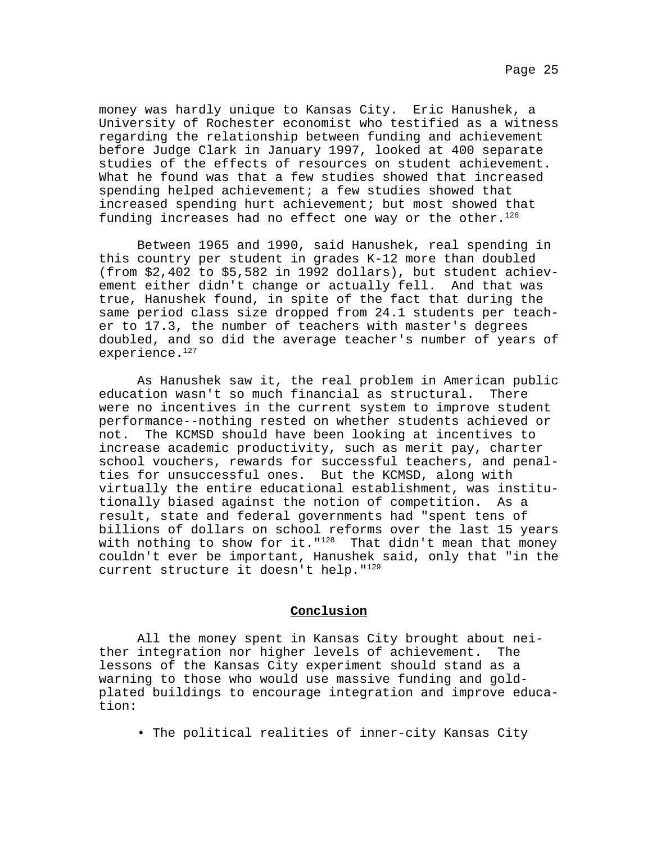money was hardly unique to Kansas City. Eric Hanushek, a University of Rochester economist who testified as a witness regarding the relationship between funding and achievement before Judge Clark in January 1997, looked at 400 separate studies of the effects of resources on student achievement. What he found was that a few studies showed that increased spending helped achievement; a few studies showed that increased spending hurt achievement; but most showed that funding increases had no effect one way or the other.<sup>126</sup>

Between 1965 and 1990, said Hanushek, real spending in this country per student in grades K-12 more than doubled (from \$2,402 to \$5,582 in 1992 dollars), but student achievement either didn't change or actually fell. And that was true, Hanushek found, in spite of the fact that during the same period class size dropped from 24.1 students per teacher to 17.3, the number of teachers with master's degrees doubled, and so did the average teacher's number of years of experience.<sup>127</sup>

As Hanushek saw it, the real problem in American public education wasn't so much financial as structural. There were no incentives in the current system to improve student performance--nothing rested on whether students achieved or not. The KCMSD should have been looking at incentives to increase academic productivity, such as merit pay, charter school vouchers, rewards for successful teachers, and penalties for unsuccessful ones. But the KCMSD, along with virtually the entire educational establishment, was institutionally biased against the notion of competition. As a result, state and federal governments had "spent tens of billions of dollars on school reforms over the last 15 years with nothing to show for it.  $128$  That didn't mean that money couldn't ever be important, Hanushek said, only that "in the current structure it doesn't help."<sup>129</sup>

# **Conclusion**

All the money spent in Kansas City brought about neither integration nor higher levels of achievement. The lessons of the Kansas City experiment should stand as a warning to those who would use massive funding and goldplated buildings to encourage integration and improve education:

• The political realities of inner-city Kansas City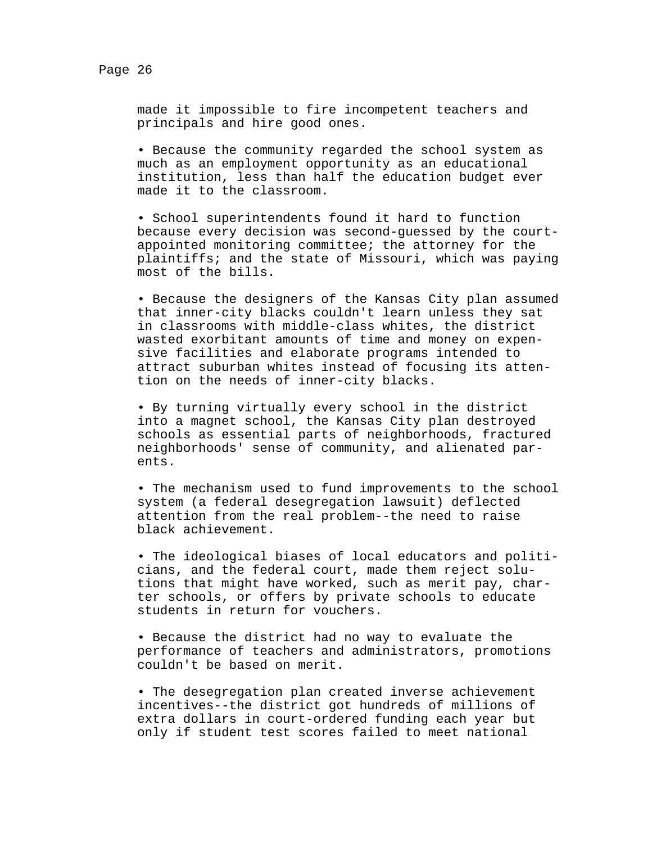made it impossible to fire incompetent teachers and principals and hire good ones.

• Because the community regarded the school system as much as an employment opportunity as an educational institution, less than half the education budget ever made it to the classroom.

• School superintendents found it hard to function because every decision was second-guessed by the courtappointed monitoring committee; the attorney for the plaintiffs; and the state of Missouri, which was paying most of the bills.

• Because the designers of the Kansas City plan assumed that inner-city blacks couldn't learn unless they sat in classrooms with middle-class whites, the district wasted exorbitant amounts of time and money on expensive facilities and elaborate programs intended to attract suburban whites instead of focusing its attention on the needs of inner-city blacks.

• By turning virtually every school in the district into a magnet school, the Kansas City plan destroyed schools as essential parts of neighborhoods, fractured neighborhoods' sense of community, and alienated parents.

• The mechanism used to fund improvements to the school system (a federal desegregation lawsuit) deflected attention from the real problem--the need to raise black achievement.

• The ideological biases of local educators and politicians, and the federal court, made them reject solutions that might have worked, such as merit pay, charter schools, or offers by private schools to educate students in return for vouchers.

• Because the district had no way to evaluate the performance of teachers and administrators, promotions couldn't be based on merit.

• The desegregation plan created inverse achievement incentives--the district got hundreds of millions of extra dollars in court-ordered funding each year but only if student test scores failed to meet national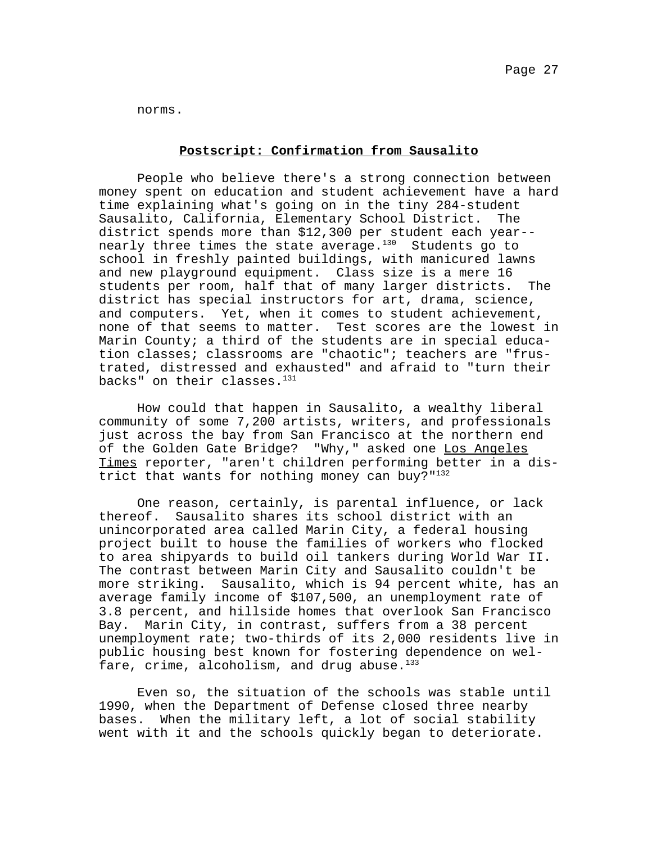norms.

#### **Postscript: Confirmation from Sausalito**

People who believe there's a strong connection between money spent on education and student achievement have a hard time explaining what's going on in the tiny 284-student Sausalito, California, Elementary School District. The district spends more than \$12,300 per student each year- nearly three times the state average. $130$  Students go to school in freshly painted buildings, with manicured lawns and new playground equipment. Class size is a mere 16 students per room, half that of many larger districts. The district has special instructors for art, drama, science, and computers. Yet, when it comes to student achievement, none of that seems to matter. Test scores are the lowest in Marin County; a third of the students are in special education classes; classrooms are "chaotic"; teachers are "frustrated, distressed and exhausted" and afraid to "turn their backs" on their classes.<sup>131</sup>

How could that happen in Sausalito, a wealthy liberal community of some 7,200 artists, writers, and professionals just across the bay from San Francisco at the northern end of the Golden Gate Bridge? "Why," asked one Los Angeles Times reporter, "aren't children performing better in a district that wants for nothing money can buy?" $132$ 

One reason, certainly, is parental influence, or lack thereof. Sausalito shares its school district with an unincorporated area called Marin City, a federal housing project built to house the families of workers who flocked to area shipyards to build oil tankers during World War II. The contrast between Marin City and Sausalito couldn't be more striking. Sausalito, which is 94 percent white, has an average family income of \$107,500, an unemployment rate of 3.8 percent, and hillside homes that overlook San Francisco Bay. Marin City, in contrast, suffers from a 38 percent unemployment rate; two-thirds of its 2,000 residents live in public housing best known for fostering dependence on welfare, crime, alcoholism, and drug abuse. $133$ 

Even so, the situation of the schools was stable until 1990, when the Department of Defense closed three nearby bases. When the military left, a lot of social stability went with it and the schools quickly began to deteriorate.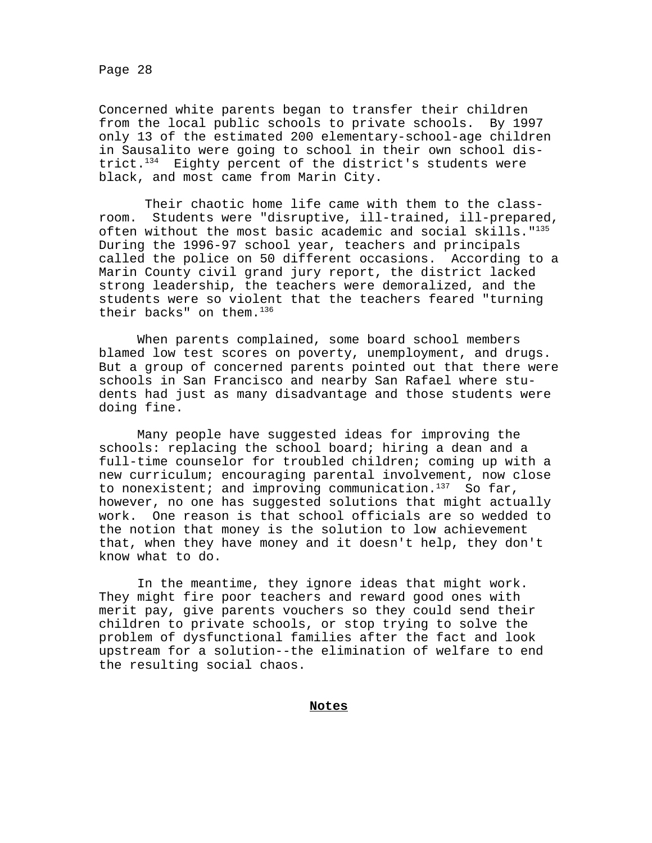Concerned white parents began to transfer their children from the local public schools to private schools. By 1997 only 13 of the estimated 200 elementary-school-age children in Sausalito were going to school in their own school district. $134$  Eighty percent of the district's students were

black, and most came from Marin City.

 Their chaotic home life came with them to the classroom. Students were "disruptive, ill-trained, ill-prepared, often without the most basic academic and social skills."<sup>135</sup> During the 1996-97 school year, teachers and principals called the police on 50 different occasions. According to a Marin County civil grand jury report, the district lacked strong leadership, the teachers were demoralized, and the students were so violent that the teachers feared "turning their backs" on them.<sup>136</sup>

When parents complained, some board school members blamed low test scores on poverty, unemployment, and drugs. But a group of concerned parents pointed out that there were schools in San Francisco and nearby San Rafael where students had just as many disadvantage and those students were doing fine.

Many people have suggested ideas for improving the schools: replacing the school board; hiring a dean and a full-time counselor for troubled children; coming up with a new curriculum; encouraging parental involvement, now close to nonexistent; and improving communication. $137$  So far, however, no one has suggested solutions that might actually work. One reason is that school officials are so wedded to the notion that money is the solution to low achievement that, when they have money and it doesn't help, they don't know what to do.

In the meantime, they ignore ideas that might work. They might fire poor teachers and reward good ones with merit pay, give parents vouchers so they could send their children to private schools, or stop trying to solve the problem of dysfunctional families after the fact and look upstream for a solution--the elimination of welfare to end the resulting social chaos.

Page 28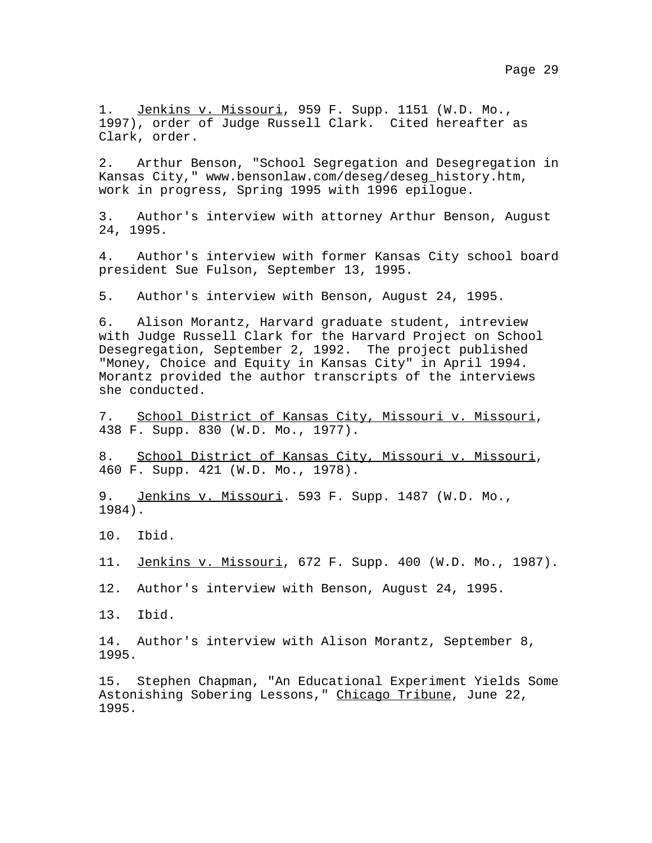1. Jenkins v. Missouri, 959 F. Supp. 1151 (W.D. Mo., 1997), order of Judge Russell Clark. Cited hereafter as Clark, order.

2. Arthur Benson, "School Segregation and Desegregation in Kansas City," www.bensonlaw.com/deseg/deseg\_history.htm, work in progress, Spring 1995 with 1996 epilogue.

3. Author's interview with attorney Arthur Benson, August 24, 1995.

4. Author's interview with former Kansas City school board president Sue Fulson, September 13, 1995.

5. Author's interview with Benson, August 24, 1995.

6. Alison Morantz, Harvard graduate student, intreview with Judge Russell Clark for the Harvard Project on School Desegregation, September 2, 1992. The project published "Money, Choice and Equity in Kansas City" in April 1994. Morantz provided the author transcripts of the interviews she conducted.

7. School District of Kansas City, Missouri v. Missouri, 438 F. Supp. 830 (W.D. Mo., 1977).

8. School District of Kansas City, Missouri v. Missouri, 460 F. Supp. 421 (W.D. Mo., 1978).

9. Jenkins v. Missouri. 593 F. Supp. 1487 (W.D. Mo., 1984).

10. Ibid.

11. Jenkins v. Missouri, 672 F. Supp. 400 (W.D. Mo., 1987).

12. Author's interview with Benson, August 24, 1995.

13. Ibid.

14. Author's interview with Alison Morantz, September 8, 1995.

15. Stephen Chapman, "An Educational Experiment Yields Some Astonishing Sobering Lessons," Chicago Tribune, June 22, 1995.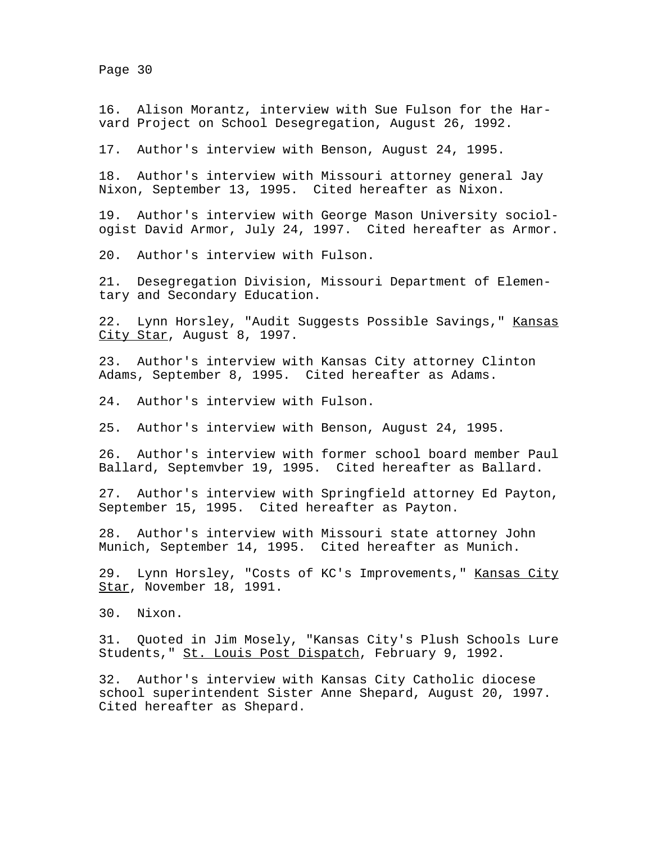Page 30

16. Alison Morantz, interview with Sue Fulson for the Harvard Project on School Desegregation, August 26, 1992.

17. Author's interview with Benson, August 24, 1995.

18. Author's interview with Missouri attorney general Jay Nixon, September 13, 1995. Cited hereafter as Nixon.

19. Author's interview with George Mason University sociologist David Armor, July 24, 1997. Cited hereafter as Armor.

20. Author's interview with Fulson.

21. Desegregation Division, Missouri Department of Elementary and Secondary Education.

22. Lynn Horsley, "Audit Suggests Possible Savings," Kansas City Star, August 8, 1997.

23. Author's interview with Kansas City attorney Clinton Adams, September 8, 1995. Cited hereafter as Adams.

24. Author's interview with Fulson.

25. Author's interview with Benson, August 24, 1995.

26. Author's interview with former school board member Paul Ballard, Septemvber 19, 1995. Cited hereafter as Ballard.

27. Author's interview with Springfield attorney Ed Payton, September 15, 1995. Cited hereafter as Payton.

28. Author's interview with Missouri state attorney John Munich, September 14, 1995. Cited hereafter as Munich.

29. Lynn Horsley, "Costs of KC's Improvements," Kansas City Star, November 18, 1991.

30. Nixon.

31. Quoted in Jim Mosely, "Kansas City's Plush Schools Lure Students," St. Louis Post Dispatch, February 9, 1992.

32. Author's interview with Kansas City Catholic diocese school superintendent Sister Anne Shepard, August 20, 1997. Cited hereafter as Shepard.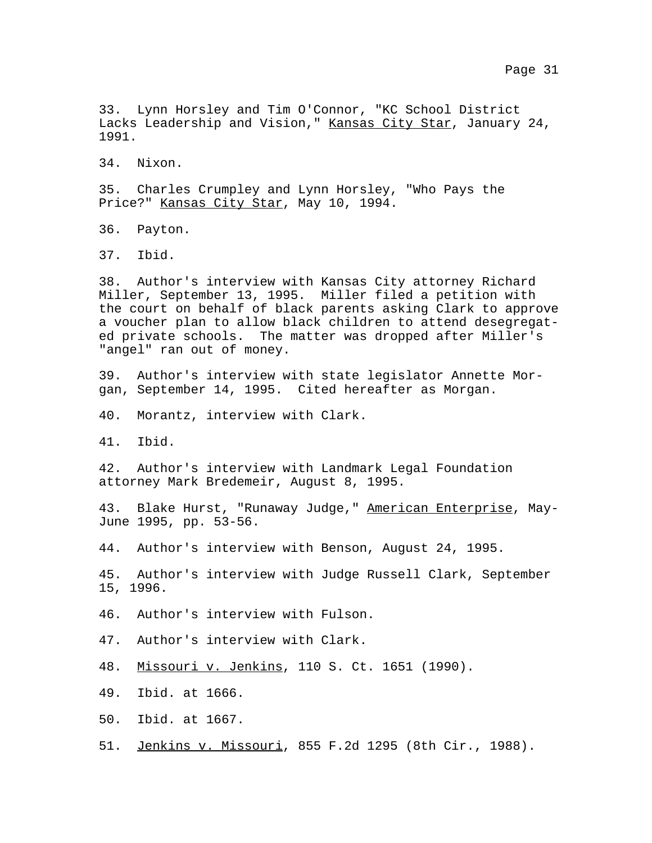34. Nixon.

35. Charles Crumpley and Lynn Horsley, "Who Pays the Price?" Kansas City Star, May 10, 1994.

36. Payton.

37. Ibid.

38. Author's interview with Kansas City attorney Richard Miller, September 13, 1995. Miller filed a petition with the court on behalf of black parents asking Clark to approve a voucher plan to allow black children to attend desegregated private schools. The matter was dropped after Miller's "angel" ran out of money.

39. Author's interview with state legislator Annette Morgan, September 14, 1995. Cited hereafter as Morgan.

40. Morantz, interview with Clark.

41. Ibid.

42. Author's interview with Landmark Legal Foundation attorney Mark Bredemeir, August 8, 1995.

43. Blake Hurst, "Runaway Judge," American Enterprise, May-June 1995, pp. 53-56.

44. Author's interview with Benson, August 24, 1995.

45. Author's interview with Judge Russell Clark, September 15, 1996.

46. Author's interview with Fulson.

47. Author's interview with Clark.

48. Missouri v. Jenkins, 110 S. Ct. 1651 (1990).

49. Ibid. at 1666.

50. Ibid. at 1667.

51. Jenkins v. Missouri, 855 F.2d 1295 (8th Cir., 1988).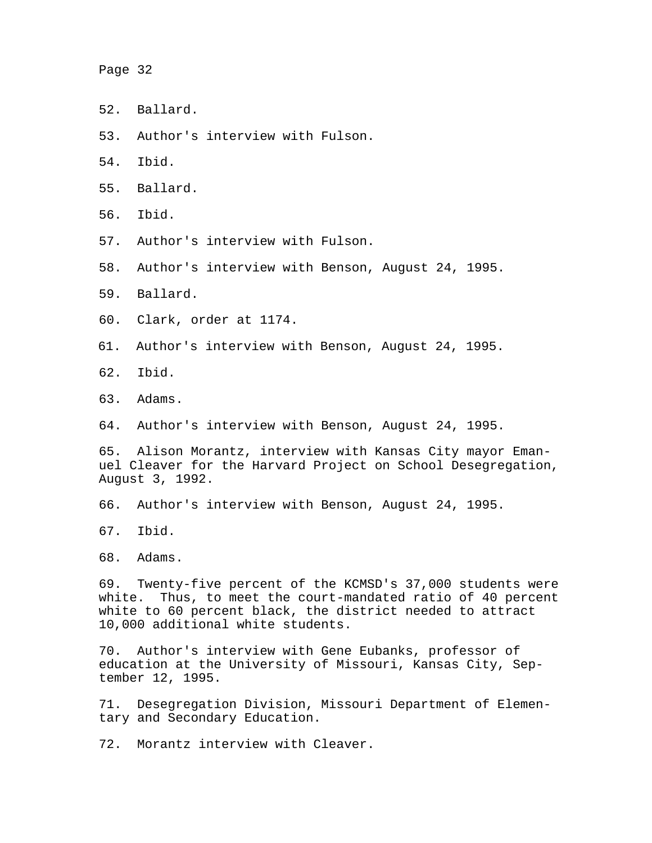Page 32

- 52. Ballard.
- 53. Author's interview with Fulson.
- 54. Ibid.
- 55. Ballard.
- 56. Ibid.
- 57. Author's interview with Fulson.
- 58. Author's interview with Benson, August 24, 1995.
- 59. Ballard.
- 60. Clark, order at 1174.
- 61. Author's interview with Benson, August 24, 1995.
- 62. Ibid.
- 63. Adams.
- 64. Author's interview with Benson, August 24, 1995.

65. Alison Morantz, interview with Kansas City mayor Emanuel Cleaver for the Harvard Project on School Desegregation, August 3, 1992.

66. Author's interview with Benson, August 24, 1995.

67. Ibid.

68. Adams.

69. Twenty-five percent of the KCMSD's 37,000 students were white. Thus, to meet the court-mandated ratio of 40 percent white to 60 percent black, the district needed to attract 10,000 additional white students.

70. Author's interview with Gene Eubanks, professor of education at the University of Missouri, Kansas City, September 12, 1995.

71. Desegregation Division, Missouri Department of Elementary and Secondary Education.

72. Morantz interview with Cleaver.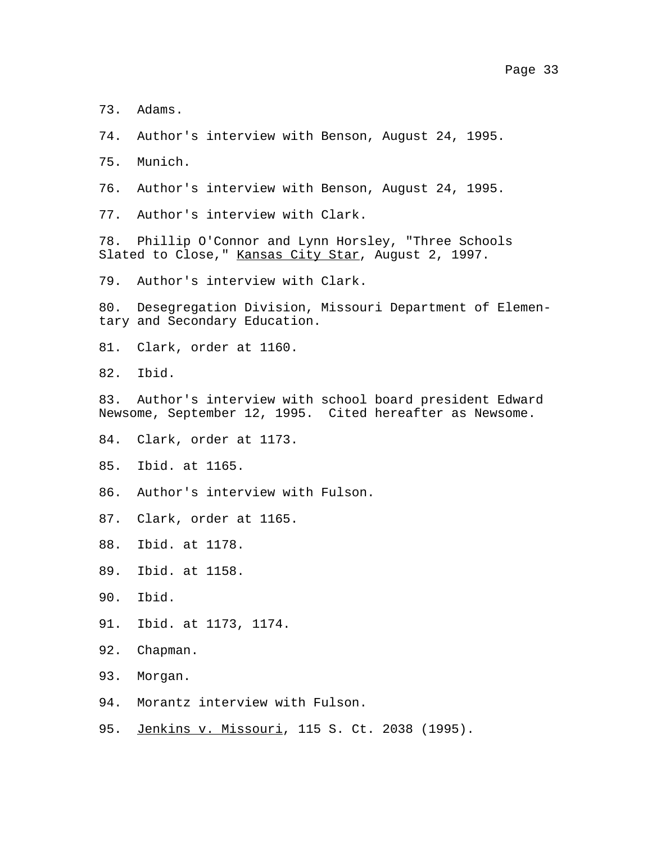- 73. Adams.
- 74. Author's interview with Benson, August 24, 1995.
- 75. Munich.
- 76. Author's interview with Benson, August 24, 1995.
- 77. Author's interview with Clark.

78. Phillip O'Connor and Lynn Horsley, "Three Schools Slated to Close," Kansas City Star, August 2, 1997.

79. Author's interview with Clark.

80. Desegregation Division, Missouri Department of Elementary and Secondary Education.

- 81. Clark, order at 1160.
- 82. Ibid.

83. Author's interview with school board president Edward Newsome, September 12, 1995. Cited hereafter as Newsome.

- 84. Clark, order at 1173.
- 85. Ibid. at 1165.
- 86. Author's interview with Fulson.
- 87. Clark, order at 1165.
- 88. Ibid. at 1178.
- 89. Ibid. at 1158.
- 90. Ibid.
- 91. Ibid. at 1173, 1174.
- 92. Chapman.
- 93. Morgan.
- 94. Morantz interview with Fulson.
- 95. Jenkins v. Missouri, 115 S. Ct. 2038 (1995).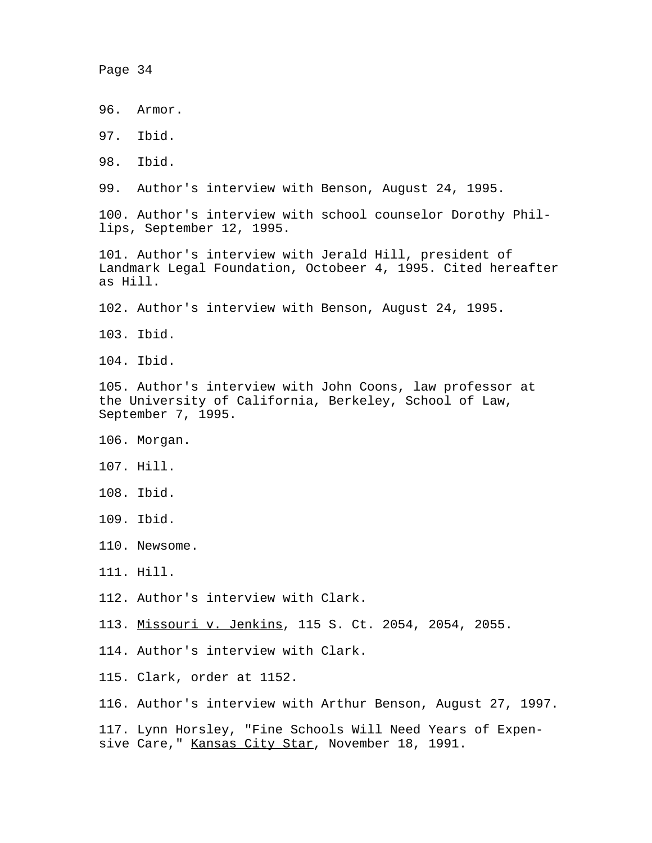Page 34 96. Armor. 97. Ibid. 98. Ibid. 99. Author's interview with Benson, August 24, 1995. 100. Author's interview with school counselor Dorothy Phillips, September 12, 1995. 101. Author's interview with Jerald Hill, president of Landmark Legal Foundation, Octobeer 4, 1995. Cited hereafter as Hill. 102. Author's interview with Benson, August 24, 1995. 103. Ibid. 104. Ibid. 105. Author's interview with John Coons, law professor at the University of California, Berkeley, School of Law, September 7, 1995. 106. Morgan. 107. Hill. 108. Ibid. 109. Ibid. 110. Newsome. 111. Hill. 112. Author's interview with Clark. 113. Missouri v. Jenkins, 115 S. Ct. 2054, 2054, 2055. 114. Author's interview with Clark. 115. Clark, order at 1152. 116. Author's interview with Arthur Benson, August 27, 1997. 117. Lynn Horsley, "Fine Schools Will Need Years of Expensive Care," Kansas City Star, November 18, 1991.